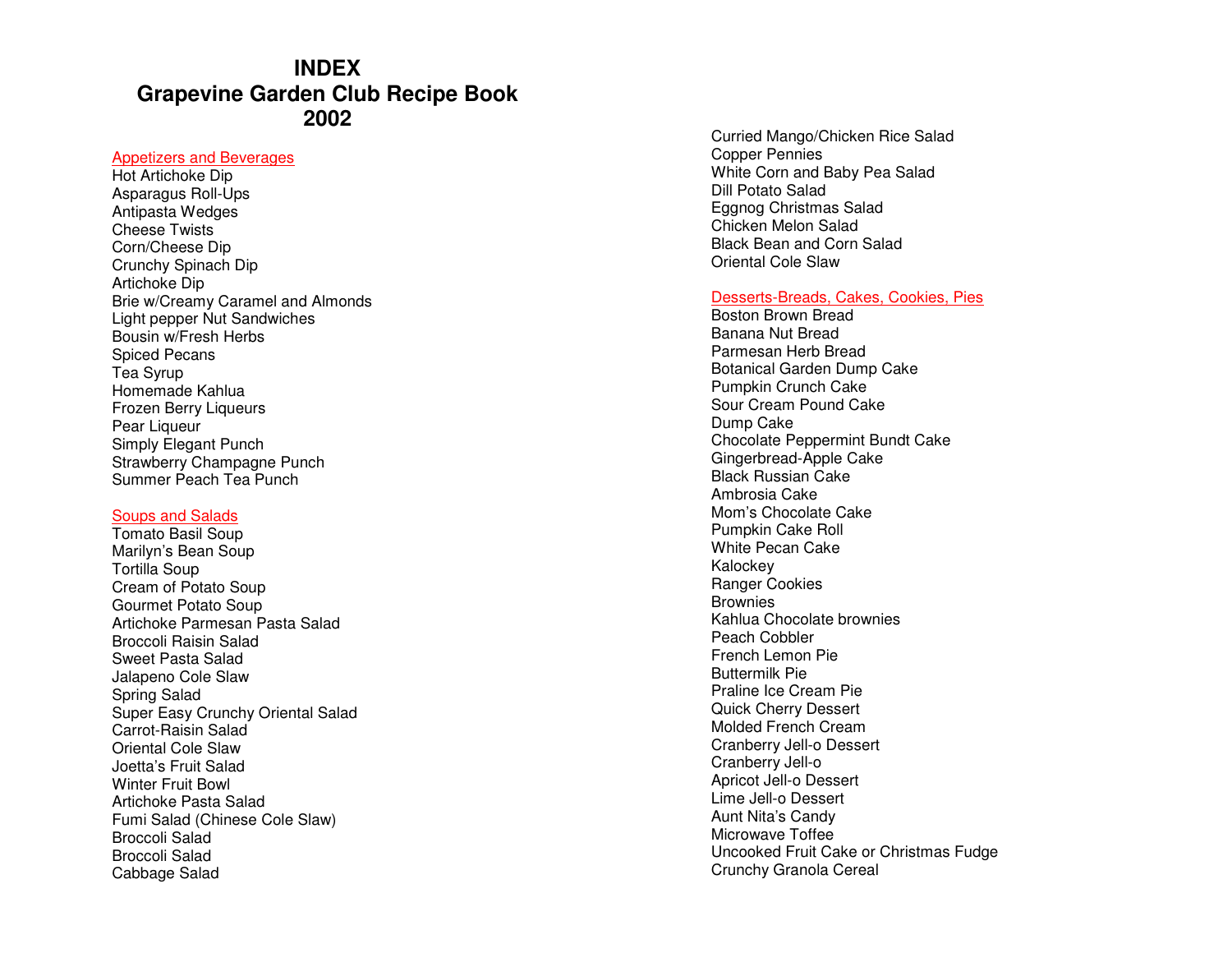# **INDEX Grapevine Garden Club Recipe Book 2002**

#### Appetizers and Beverages

Hot Artichoke Dip Asparagus Roll-Ups Antipasta Wedges Cheese Twists Corn/Cheese Dip Crunchy Spinach Dip Artichoke Dip Brie w/Creamy Caramel and Almonds Light pepper Nut Sandwiches Bousin w/Fresh Herbs Spiced Pecans Tea Syrup Homemade Kahlua Frozen Berry Liqueurs Pear Liqueur Simply Elegant Punch Strawberry Champagne Punch Summer Peach Tea Punch

#### Soups and Salads

 Tomato Basil Soup Marilyn's Bean Soup Tortilla Soup Cream of Potato Soup Gourmet Potato Soup Artichoke Parmesan Pasta Salad Broccoli Raisin Salad Sweet Pasta Salad Jalapeno Cole Slaw Spring Salad Super Easy Crunchy Oriental Salad Carrot-Raisin Salad Oriental Cole Slaw Joetta's Fruit Salad Winter Fruit Bowl Artichoke Pasta Salad Fumi Salad (Chinese Cole Slaw) Broccoli Salad Broccoli Salad Cabbage Salad

Curried Mango/Chicken Rice Salad Copper Pennies White Corn and Baby Pea Salad Dill Potato Salad Eggnog Christmas Salad Chicken Melon Salad Black Bean and Corn Salad Oriental Cole Slaw

#### Desserts-Breads, Cakes, Cookies, Pies

Boston Brown Bread Banana Nut Bread Parmesan Herb Bread Botanical Garden Dump Cake Pumpkin Crunch Cake Sour Cream Pound Cake Dump Cake Chocolate Peppermint Bundt Cake Gingerbread-Apple Cake Black Russian Cake Ambrosia Cake Mom's Chocolate Cake Pumpkin Cake Roll White Pecan Cake Kalockey Ranger Cookies **Brownies**  Kahlua Chocolate brownies Peach Cobbler French Lemon Pie Buttermilk Pie Praline Ice Cream Pie Quick Cherry Dessert Molded French Cream Cranberry Jell-o Dessert Cranberry Jell-o Apricot Jell-o Dessert Lime Jell-o Dessert Aunt Nita's Candy Microwave Toffee Uncooked Fruit Cake or Christmas Fudge Crunchy Granola Cereal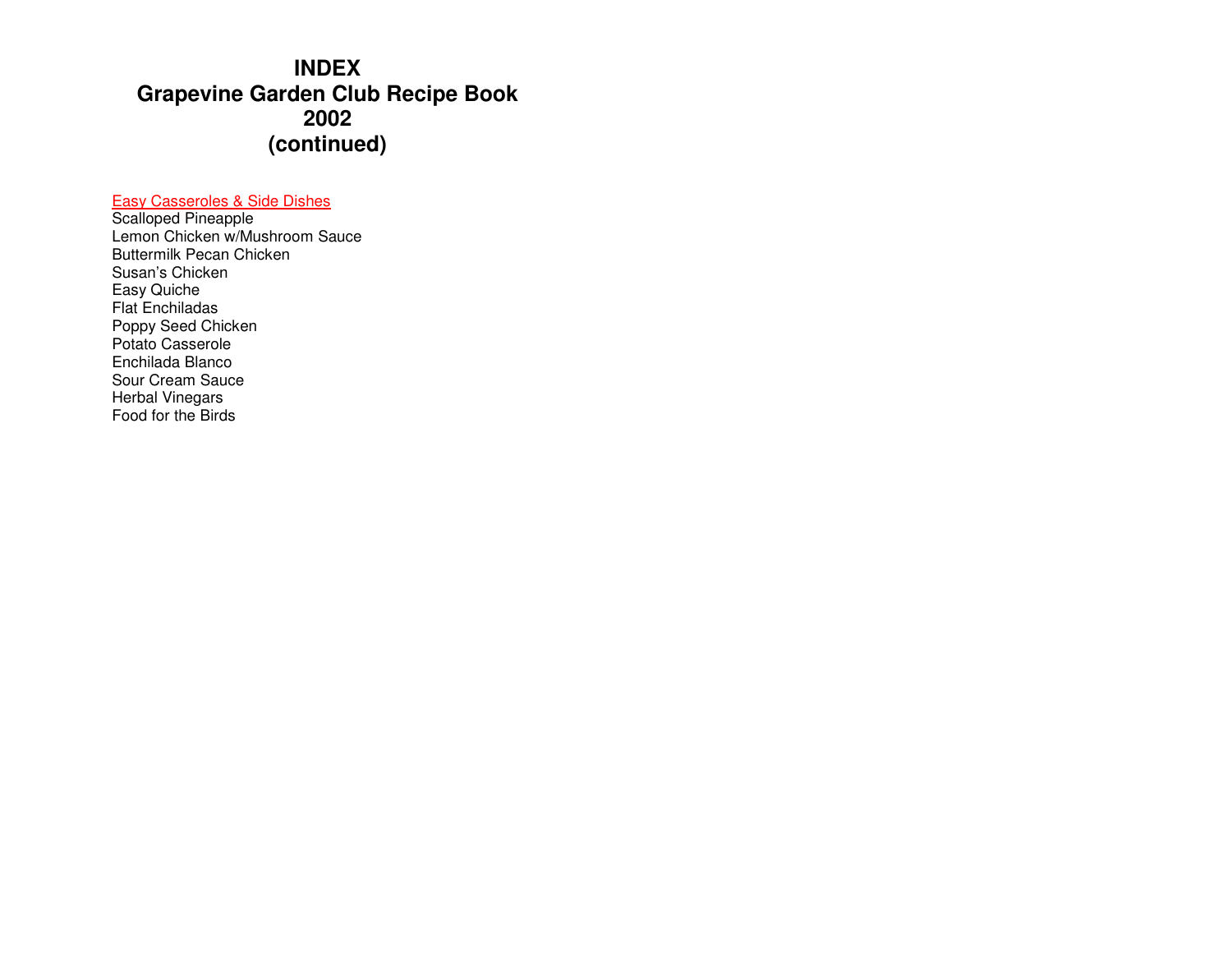# **INDEX Grapevine Garden Club Recipe Book 2002 (continued)**

# Easy Casseroles & Side Dishes

Scalloped Pineapple Lemon Chicken w/Mushroom Sauce Buttermilk Pecan Chicken Susan's Chicken Easy Quiche Flat Enchiladas Poppy Seed Chicken Potato Casserole Enchilada Blanco Sour Cream Sauce Herbal Vinegars Food for the Birds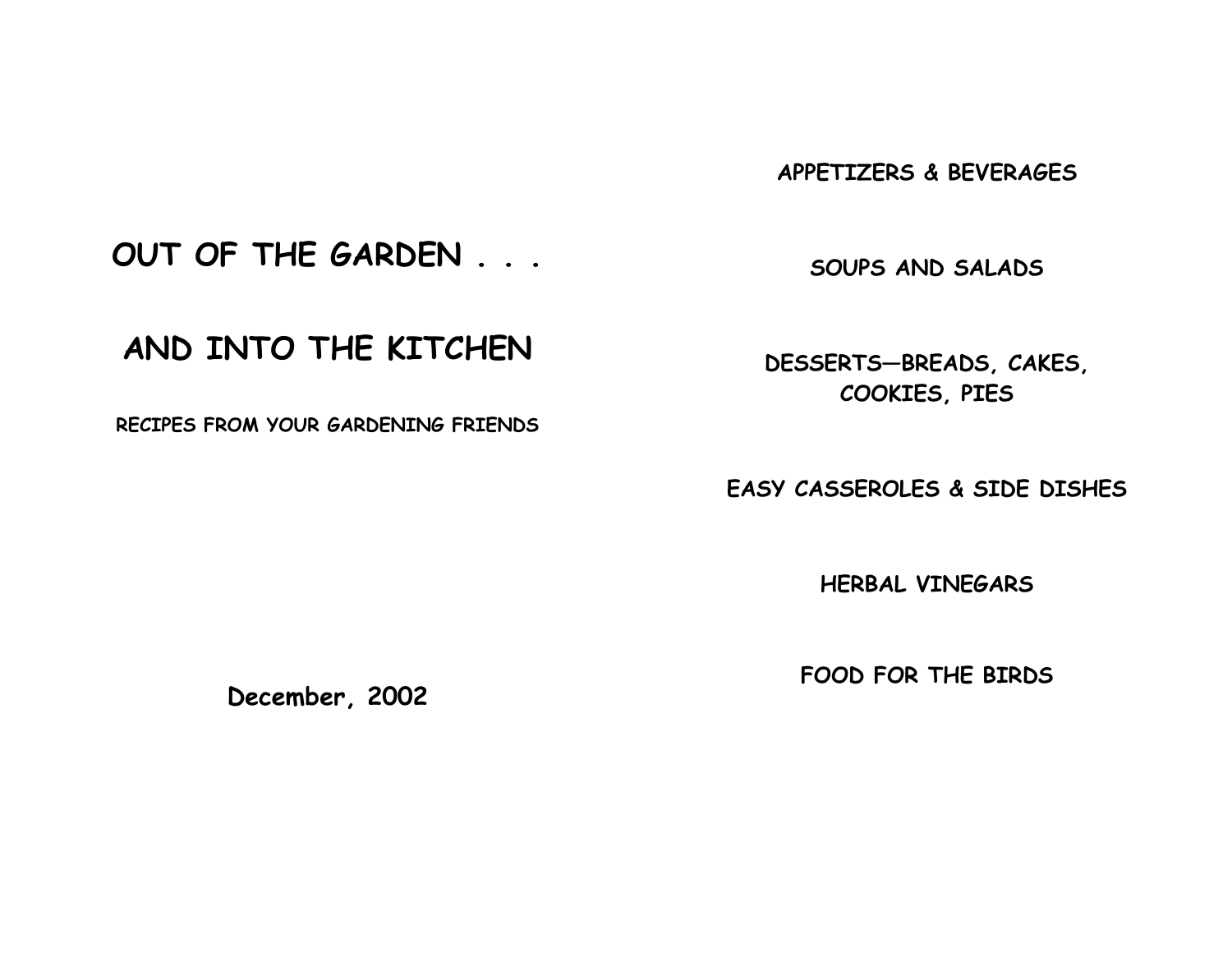APPETIZERS & BEVERAGES

OUT OF THE GARDEN . . .

SOUPS AND SALADS

# AND INTO THE KITCHEN

RECIPES FROM YOUR GARDENING FRIENDS

DESSERTS—BREADS, CAKES, COOKIES, PIES

EASY CASSEROLES & SIDE DISHES

HERBAL VINEGARS

FOOD FOR THE BIRDS

December, 2002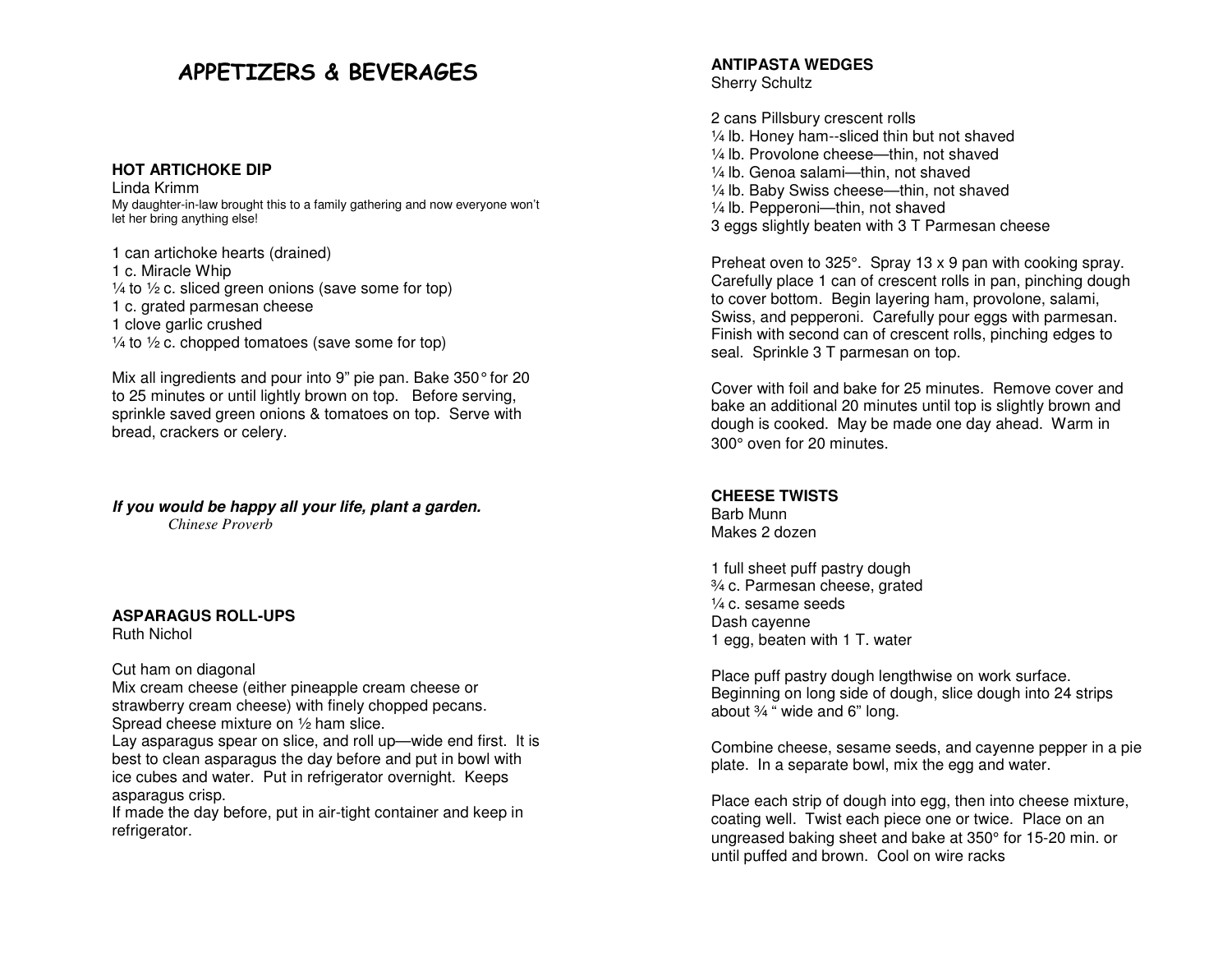# APPETIZERS & BEVERAGES

#### **HOT ARTICHOKE DIP**

Linda Krimm My daughter-in-law brought this to a family gathering and now everyone won't let her bring anything else!

1 can artichoke hearts (drained) 1 c. Miracle Whip  $\frac{1}{4}$  to  $\frac{1}{2}$  c. sliced green onions (save some for top) 1 c. grated parmesan cheese 1 clove garlic crushed  $\frac{1}{4}$  to  $\frac{1}{2}$  c. chopped tomatoes (save some for top)

Mix all ingredients and pour into 9" pie pan. Bake 350° for 20 to 25 minutes or until lightly brown on top. Before serving, sprinkle saved green onions & tomatoes on top. Serve with bread, crackers or celery.

#### **If you would be happy all your life, plant a garden.**

 *Chinese Proverb* 

## **ASPARAGUS ROLL-UPS**

Ruth Nichol

#### Cut ham on diagonal

 Mix cream cheese (either pineapple cream cheese or strawberry cream cheese) with finely chopped pecans. Spread cheese mixture on ½ ham slice.

 Lay asparagus spear on slice, and roll up—wide end first. It is best to clean asparagus the day before and put in bowl with ice cubes and water. Put in refrigerator overnight. Keeps asparagus crisp.

 If made the day before, put in air-tight container and keep in refrigerator.

#### **ANTIPASTA WEDGES** Sherry Schultz

2 cans Pillsbury crescent rolls ¼ lb. Honey ham--sliced thin but not shaved ¼ lb. Provolone cheese—thin, not shaved ¼ lb. Genoa salami—thin, not shaved ¼ lb. Baby Swiss cheese—thin, not shaved ¼ lb. Pepperoni—thin, not shaved 3 eggs slightly beaten with 3 T Parmesan cheese

Preheat oven to 325°. Spray 13 x 9 pan with cooking spray. Carefully place 1 can of crescent rolls in pan, pinching dough to cover bottom. Begin layering ham, provolone, salami, Swiss, and pepperoni. Carefully pour eggs with parmesan. Finish with second can of crescent rolls, pinching edges to seal. Sprinkle 3 T parmesan on top.

Cover with foil and bake for 25 minutes. Remove cover and bake an additional 20 minutes until top is slightly brown and dough is cooked. May be made one day ahead. Warm in 300° oven for 20 minutes.

#### **CHEESE TWISTS**

Barb Munn Makes 2 dozen

1 full sheet puff pastry dough ¾ c. Parmesan cheese, grated ¼ c. sesame seeds Dash cayenne 1 egg, beaten with 1 T. water

Place puff pastry dough lengthwise on work surface. Beginning on long side of dough, slice dough into 24 strips about ¾ " wide and 6" long.

Combine cheese, sesame seeds, and cayenne pepper in a pie plate. In a separate bowl, mix the egg and water.

Place each strip of dough into egg, then into cheese mixture, coating well. Twist each piece one or twice. Place on an ungreased baking sheet and bake at 350° for 15-20 min. or until puffed and brown. Cool on wire racks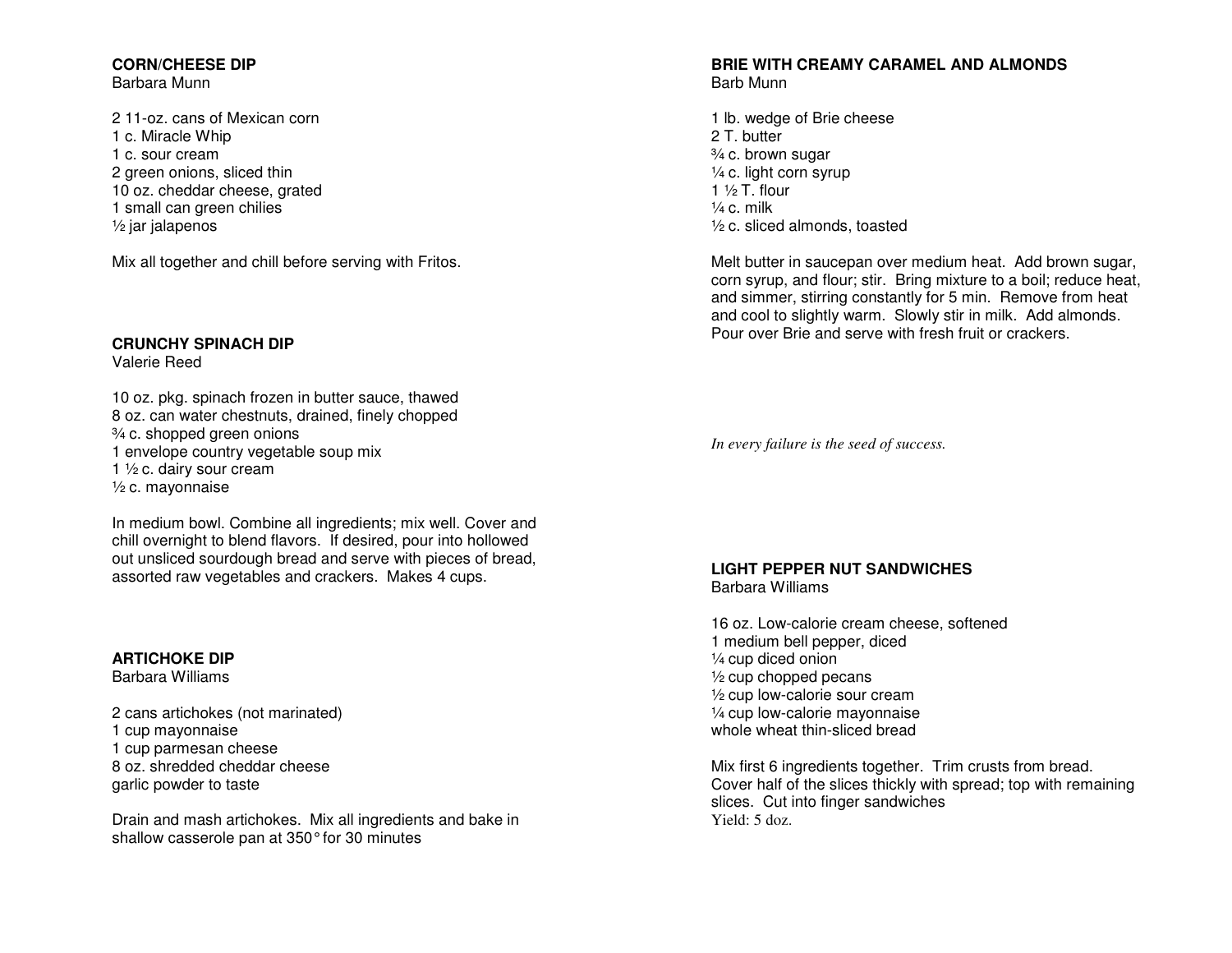## **CORN/CHEESE DIP**

Barbara Munn

2 11-oz. cans of Mexican corn 1 c. Miracle Whip 1 c. sour cream 2 green onions, sliced thin 10 oz. cheddar cheese, grated 1 small can green chilies ½ jar jalapenos

Mix all together and chill before serving with Fritos.

# **CRUNCHY SPINACH DIP**

Valerie Reed

10 oz. pkg. spinach frozen in butter sauce, thawed 8 oz. can water chestnuts, drained, finely chopped ¾ c. shopped green onions 1 envelope country vegetable soup mix 1 ½ c. dairy sour cream ½ c. mayonnaise

In medium bowl. Combine all ingredients; mix well. Cover and chill overnight to blend flavors. If desired, pour into hollowed out unsliced sourdough bread and serve with pieces of bread, assorted raw vegetables and crackers. Makes 4 cups.

# **ARTICHOKE DIP**

Barbara Williams

2 cans artichokes (not marinated) 1 cup mayonnaise 1 cup parmesan cheese 8 oz. shredded cheddar cheese garlic powder to taste

Drain and mash artichokes. Mix all ingredients and bake in shallow casserole pan at 350° for 30 minutes

# **BRIE WITH CREAMY CARAMEL AND ALMONDS** Barb Munn

1 lb. wedge of Brie cheese 2 T. butter ¾ c. brown sugar ¼ c. light corn syrup 1  $\frac{1}{2}$  T. flour  $\frac{1}{4}$  c. milk ½ c. sliced almonds, toasted

Melt butter in saucepan over medium heat. Add brown sugar, corn syrup, and flour; stir. Bring mixture to a boil; reduce heat, and simmer, stirring constantly for 5 min. Remove from heat and cool to slightly warm. Slowly stir in milk. Add almonds. Pour over Brie and serve with fresh fruit or crackers.

*In every failure is the seed of success.* 

# **LIGHT PEPPER NUT SANDWICHES**

Barbara Williams

16 oz. Low-calorie cream cheese, softened 1 medium bell pepper, diced ¼ cup diced onion ½ cup chopped pecans ½ cup low-calorie sour cream ¼ cup low-calorie mayonnaise whole wheat thin-sliced bread

Mix first 6 ingredients together. Trim crusts from bread. Cover half of the slices thickly with spread; top with remaining slices. Cut into finger sandwiches Yield: 5 doz.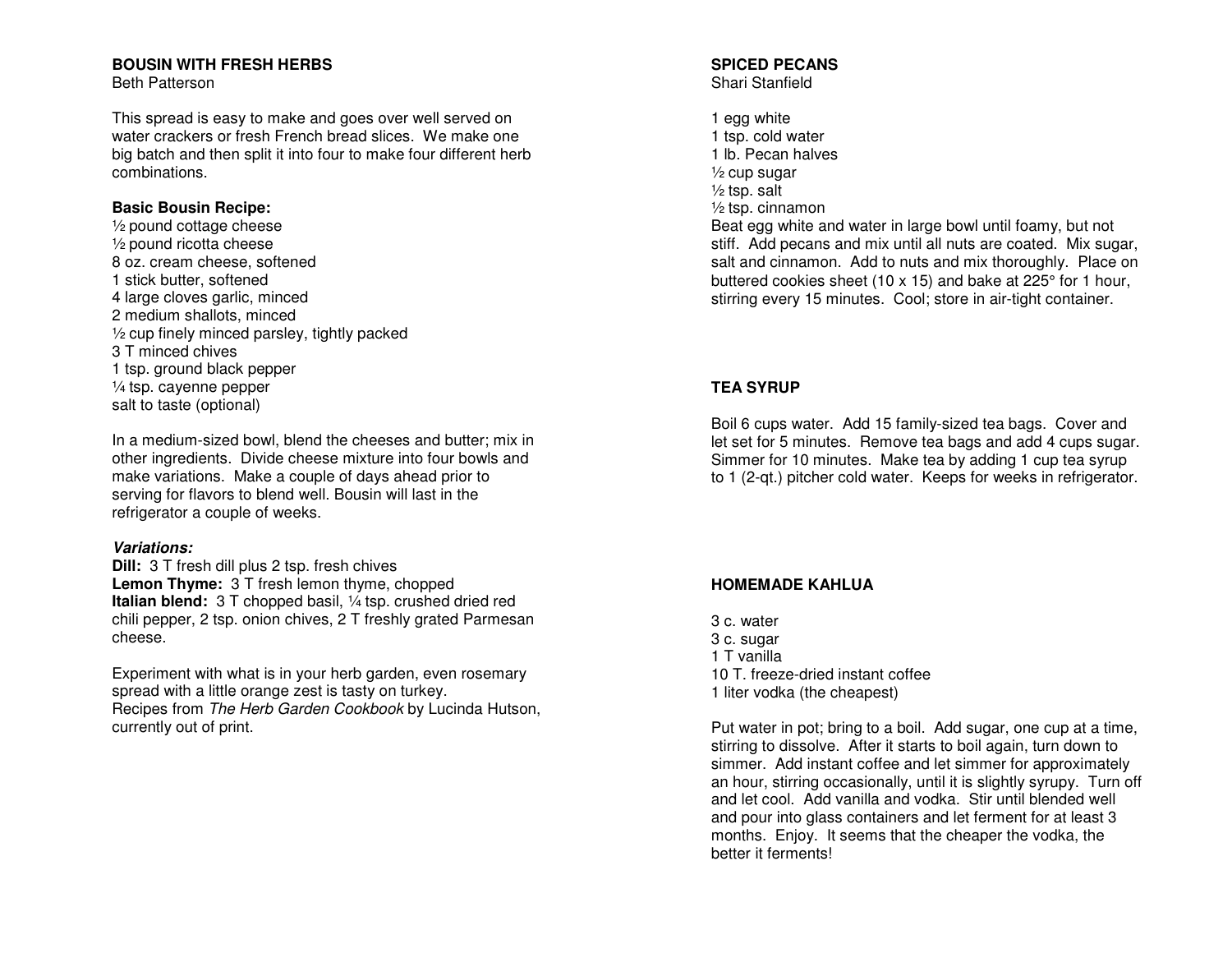### **BOUSIN WITH FRESH HERBS**

Beth Patterson

This spread is easy to make and goes over well served on water crackers or fresh French bread slices. We make one big batch and then split it into four to make four different herb combinations.

### **Basic Bousin Recipe:**

 ½ pound cottage cheese ½ pound ricotta cheese 8 oz. cream cheese, softened 1 stick butter, softened 4 large cloves garlic, minced 2 medium shallots, minced ½ cup finely minced parsley, tightly packed 3 T minced chives 1 tsp. ground black pepper ¼ tsp. cayenne pepper salt to taste (optional)

In a medium-sized bowl, blend the cheeses and butter; mix in other ingredients. Divide cheese mixture into four bowls and make variations. Make a couple of days ahead prior to serving for flavors to blend well. Bousin will last in the refrigerator a couple of weeks.

#### **Variations:**

 **Dill:** 3 T fresh dill plus 2 tsp. fresh chives **Lemon Thyme:** 3 T fresh lemon thyme, chopped **Italian blend:** 3 T chopped basil, ¼ tsp. crushed dried red chili pepper, 2 tsp. onion chives, 2 T freshly grated Parmesan cheese.

Experiment with what is in your herb garden, even rosemary spread with a little orange zest is tasty on turkey. Recipes from The Herb Garden Cookbook by Lucinda Hutson, currently out of print.

# **SPICED PECANS**

Shari Stanfield

1 egg white 1 tsp. cold water 1 lb. Pecan halves ½ cup sugar ½ tsp. salt ½ tsp. cinnamon Beat egg white and water in large bowl until foamy, but not stiff. Add pecans and mix until all nuts are coated. Mix sugar, salt and cinnamon. Add to nuts and mix thoroughly. Place on buttered cookies sheet (10 x 15) and bake at 225° for 1 hour, stirring every 15 minutes. Cool; store in air-tight container.

# **TEA SYRUP**

Boil 6 cups water. Add 15 family-sized tea bags. Cover and let set for 5 minutes. Remove tea bags and add 4 cups sugar. Simmer for 10 minutes. Make tea by adding 1 cup tea syrup to 1 (2-qt.) pitcher cold water. Keeps for weeks in refrigerator.

## **HOMEMADE KAHLUA**

3 c. water 3 c. sugar 1 T vanilla 10 T. freeze-dried instant coffee 1 liter vodka (the cheapest)

Put water in pot; bring to a boil. Add sugar, one cup at a time, stirring to dissolve. After it starts to boil again, turn down to simmer. Add instant coffee and let simmer for approximately an hour, stirring occasionally, until it is slightly syrupy. Turn off and let cool. Add vanilla and vodka. Stir until blended well and pour into glass containers and let ferment for at least 3 months. Enjoy. It seems that the cheaper the vodka, the better it ferments!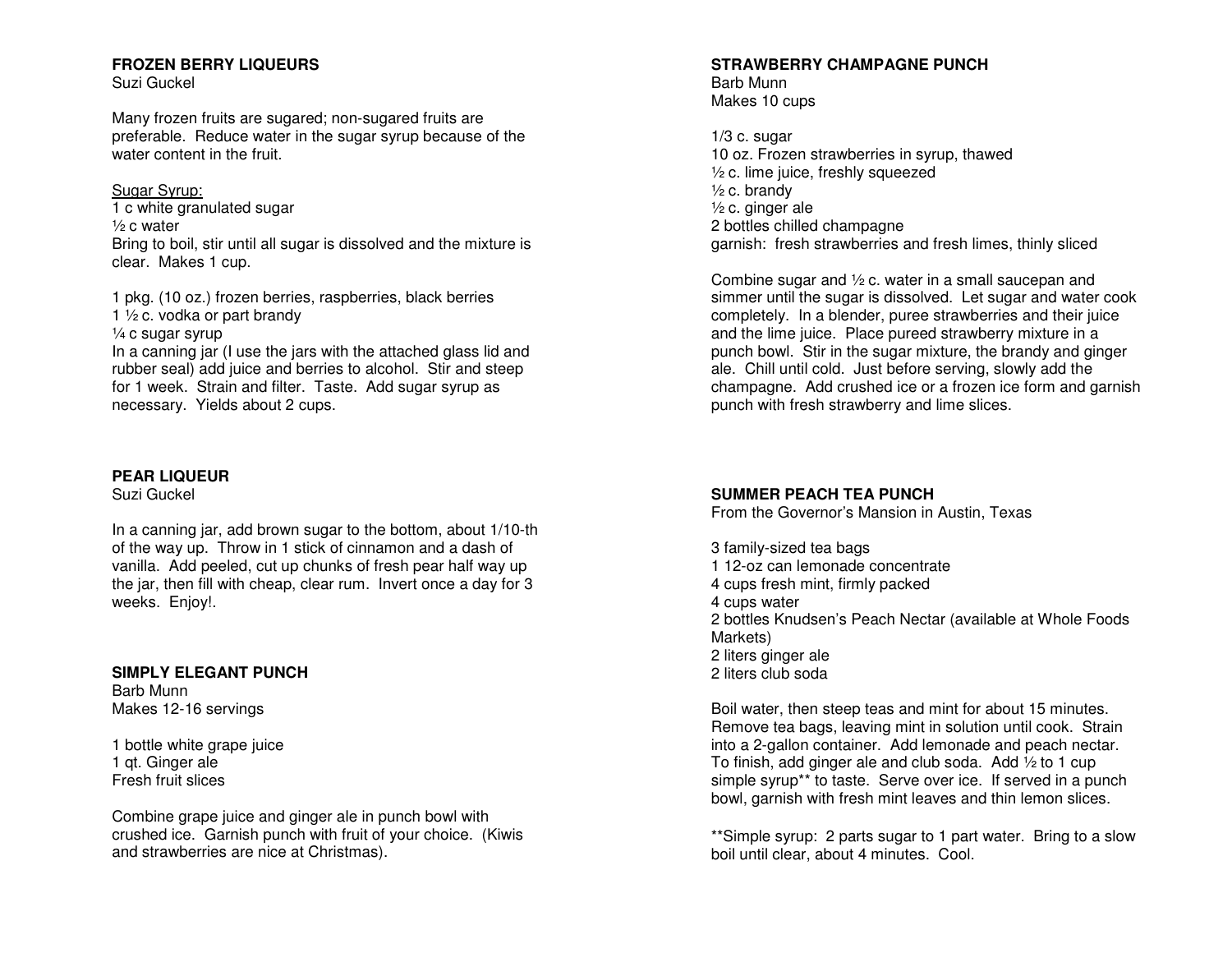## **FROZEN BERRY LIQUEURS**

Suzi Guckel

Many frozen fruits are sugared; non-sugared fruits are preferable. Reduce water in the sugar syrup because of the water content in the fruit.

Sugar Syrup: 1 c white granulated sugar ½ c water Bring to boil, stir until all sugar is dissolved and the mixture is clear. Makes 1 cup.

1 pkg. (10 oz.) frozen berries, raspberries, black berries 1 ½ c. vodka or part brandy

¼ c sugar syrup

 In a canning jar (I use the jars with the attached glass lid and rubber seal) add juice and berries to alcohol. Stir and steep for 1 week. Strain and filter. Taste. Add sugar syrup as necessary. Yields about 2 cups.

# **PEAR LIQUEUR**

Suzi Guckel

In a canning jar, add brown sugar to the bottom, about 1/10-th of the way up. Throw in 1 stick of cinnamon and a dash of vanilla. Add peeled, cut up chunks of fresh pear half way up the jar, then fill with cheap, clear rum. Invert once a day for 3 weeks. Enjoy!.

# **SIMPLY ELEGANT PUNCH**

Barb Munn Makes 12-16 servings

1 bottle white grape juice 1 qt. Ginger ale Fresh fruit slices

Combine grape juice and ginger ale in punch bowl with crushed ice. Garnish punch with fruit of your choice. (Kiwis and strawberries are nice at Christmas).

### **STRAWBERRY CHAMPAGNE PUNCH**

Barb Munn Makes 10 cups

 $1/3$  c. sugar 10 oz. Frozen strawberries in syrup, thawed ½ c. lime juice, freshly squeezed  $\frac{1}{2}$  c. brandy ½ c. ginger ale 2 bottles chilled champagne garnish: fresh strawberries and fresh limes, thinly sliced

Combine sugar and ½ c. water in a small saucepan and simmer until the sugar is dissolved. Let sugar and water cook completely. In a blender, puree strawberries and their juice and the lime juice. Place pureed strawberry mixture in a punch bowl. Stir in the sugar mixture, the brandy and ginger ale. Chill until cold. Just before serving, slowly add the champagne. Add crushed ice or a frozen ice form and garnish punch with fresh strawberry and lime slices.

# **SUMMER PEACH TEA PUNCH**

From the Governor's Mansion in Austin, Texas

3 family-sized tea bags 1 12-oz can lemonade concentrate 4 cups fresh mint, firmly packed 4 cups water 2 bottles Knudsen's Peach Nectar (available at Whole Foods Markets) 2 liters ginger ale 2 liters club soda

Boil water, then steep teas and mint for about 15 minutes. Remove tea bags, leaving mint in solution until cook. Strain into a 2-gallon container. Add lemonade and peach nectar. To finish, add ginger ale and club soda. Add ½ to 1 cup simple syrup\*\* to taste. Serve over ice. If served in a punch bowl, garnish with fresh mint leaves and thin lemon slices.

\*\*Simple syrup: 2 parts sugar to 1 part water. Bring to a slow boil until clear, about 4 minutes. Cool.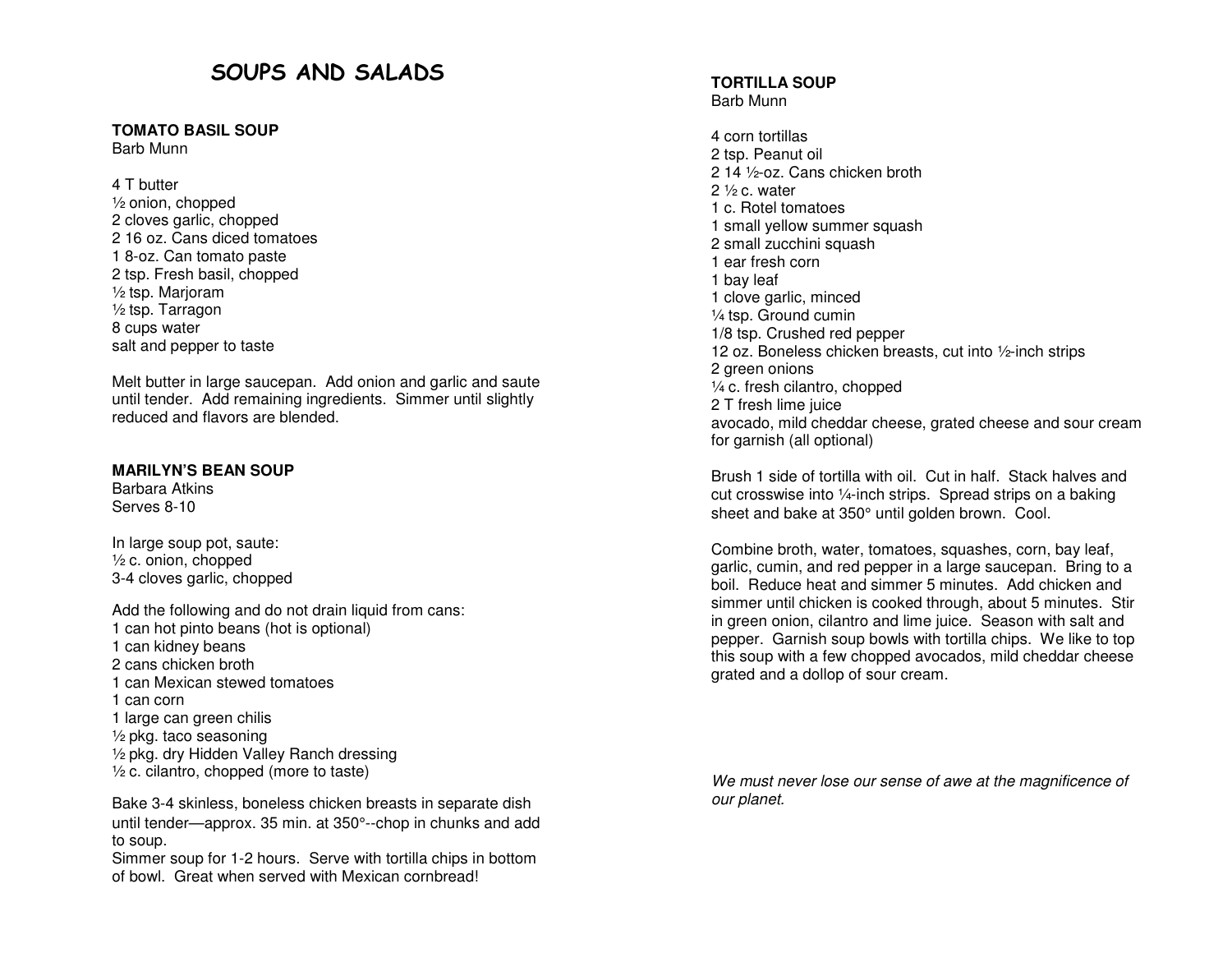# SOUPS AND SALADS

# **TOMATO BASIL SOUP**

Barb Munn

4 T butter ½ onion, chopped 2 cloves garlic, chopped 2 16 oz. Cans diced tomatoes 1 8-oz. Can tomato paste 2 tsp. Fresh basil, chopped ½ tsp. Marjoram ½ tsp. Tarragon 8 cups water salt and pepper to taste

Melt butter in large saucepan. Add onion and garlic and saute until tender. Add remaining ingredients. Simmer until slightly reduced and flavors are blended.

## **MARILYN'S BEAN SOUP**

Barbara Atkins Serves 8-10

In large soup pot, saute:  $\frac{1}{2}$  c. onion, chopped 3-4 cloves garlic, chopped

Add the following and do not drain liquid from cans: 1 can hot pinto beans (hot is optional) 1 can kidney beans 2 cans chicken broth 1 can Mexican stewed tomatoes 1 can corn 1 large can green chilis ½ pkg. taco seasoning ½ pkg. dry Hidden Valley Ranch dressing  $\frac{1}{2}$  c. cilantro, chopped (more to taste)

Bake 3-4 skinless, boneless chicken breasts in separate dish until tender—approx. 35 min. at 350°--chop in chunks and add to soup.

 Simmer soup for 1-2 hours. Serve with tortilla chips in bottom of bowl. Great when served with Mexican cornbread!

#### **TORTILLA SOUP** Barb Munn

4 corn tortillas 2 tsp. Peanut oil 2 14 ½-oz. Cans chicken broth 2  $\frac{1}{2}$  c. water 1 c. Rotel tomatoes 1 small yellow summer squash 2 small zucchini squash 1 ear fresh corn 1 bay leaf 1 clove garlic, minced ¼ tsp. Ground cumin 1/8 tsp. Crushed red pepper 12 oz. Boneless chicken breasts, cut into ½-inch strips 2 green onions ¼ c. fresh cilantro, chopped 2 T fresh lime juice avocado, mild cheddar cheese, grated cheese and sour cream for garnish (all optional)

Brush 1 side of tortilla with oil. Cut in half. Stack halves and cut crosswise into ¼-inch strips. Spread strips on a baking sheet and bake at 350° until golden brown. Cool.

Combine broth, water, tomatoes, squashes, corn, bay leaf, garlic, cumin, and red pepper in a large saucepan. Bring to a boil. Reduce heat and simmer 5 minutes. Add chicken and simmer until chicken is cooked through, about 5 minutes. Stir in green onion, cilantro and lime juice. Season with salt and pepper. Garnish soup bowls with tortilla chips. We like to top this soup with a few chopped avocados, mild cheddar cheese grated and a dollop of sour cream.

We must never lose our sense of awe at the magnificence of our planet.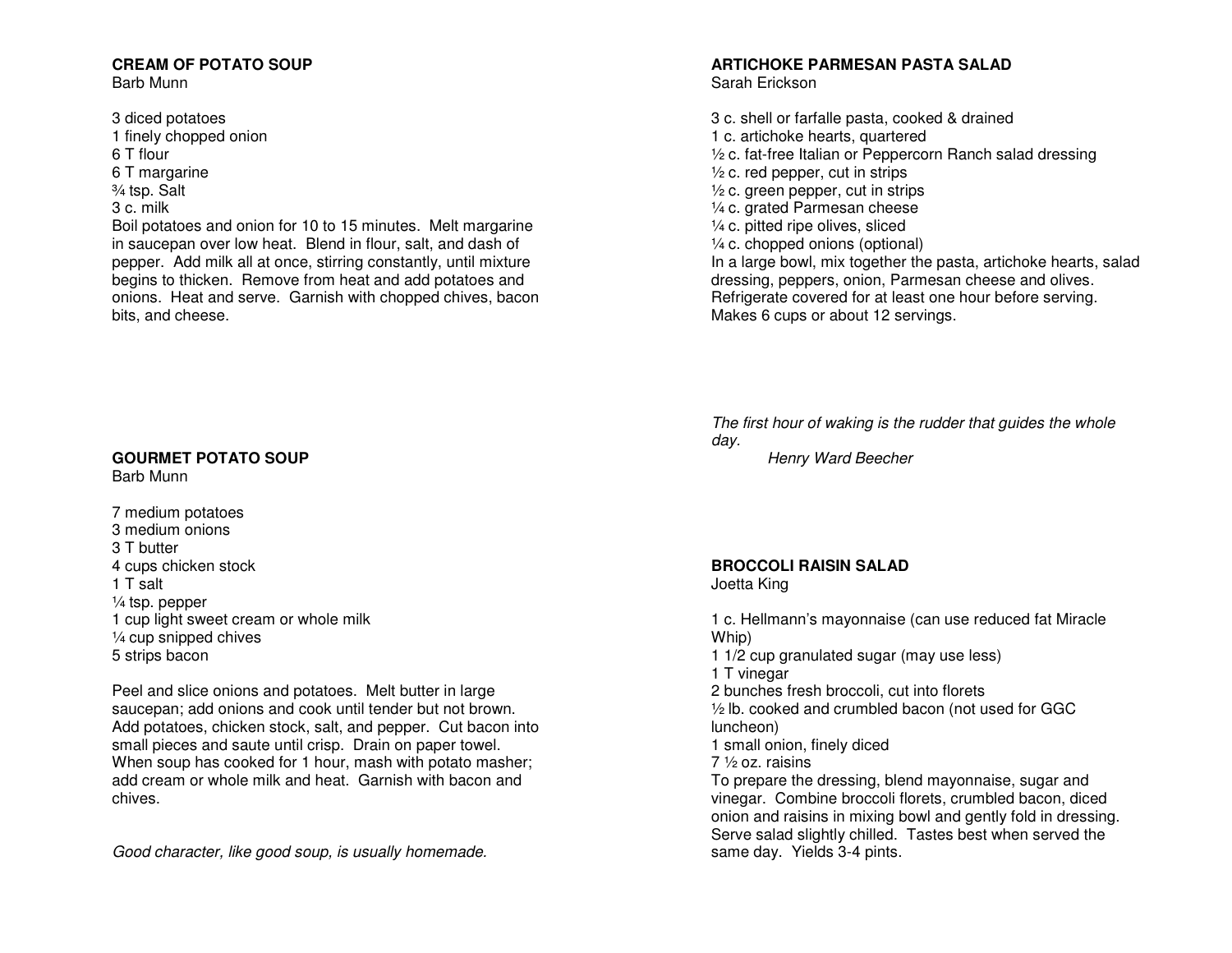# **CREAM OF POTATO SOUP**

Barb Munn

3 diced potatoes 1 finely chopped onion 6 T flour 6 T margarine ¾ tsp. Salt 3 c. milk Boil potatoes and onion for 10 to 15 minutes. Melt margarine in saucepan over low heat. Blend in flour, salt, and dash of pepper. Add milk all at once, stirring constantly, until mixture begins to thicken. Remove from heat and add potatoes and onions. Heat and serve. Garnish with chopped chives, bacon bits, and cheese.

## **GOURMET POTATO SOUP**

Barb Munn

7 medium potatoes 3 medium onions 3 T butter 4 cups chicken stock 1 T salt ¼ tsp. pepper 1 cup light sweet cream or whole milk ¼ cup snipped chives 5 strips bacon

Peel and slice onions and potatoes. Melt butter in large saucepan; add onions and cook until tender but not brown. Add potatoes, chicken stock, salt, and pepper. Cut bacon into small pieces and saute until crisp. Drain on paper towel. When soup has cooked for 1 hour, mash with potato masher; add cream or whole milk and heat. Garnish with bacon and chives.

Good character, like good soup, is usually homemade.

# **ARTICHOKE PARMESAN PASTA SALAD**

Sarah Erickson

3 c. shell or farfalle pasta, cooked & drained 1 c. artichoke hearts, quartered ½ c. fat-free Italian or Peppercorn Ranch salad dressing  $\frac{1}{2}$  c. red pepper, cut in strips ½ c. green pepper, cut in strips ¼ c. grated Parmesan cheese ¼ c. pitted ripe olives, sliced ¼ c. chopped onions (optional) In a large bowl, mix together the pasta, artichoke hearts, salad dressing, peppers, onion, Parmesan cheese and olives. Refrigerate covered for at least one hour before serving. Makes 6 cups or about 12 servings.

The first hour of waking is the rudder that guides the whole day.

Henry Ward Beecher

## **BROCCOLI RAISIN SALAD**

Joetta King

1 c. Hellmann's mayonnaise (can use reduced fat Miracle Whip) 1 1/2 cup granulated sugar (may use less) 1 T vinegar 2 bunches fresh broccoli, cut into florets ½ lb. cooked and crumbled bacon (not used for GGC luncheon) 1 small onion, finely diced 7 ½ oz. raisins To prepare the dressing, blend mayonnaise, sugar and vinegar. Combine broccoli florets, crumbled bacon, diced onion and raisins in mixing bowl and gently fold in dressing. Serve salad slightly chilled. Tastes best when served the same day. Yields 3-4 pints.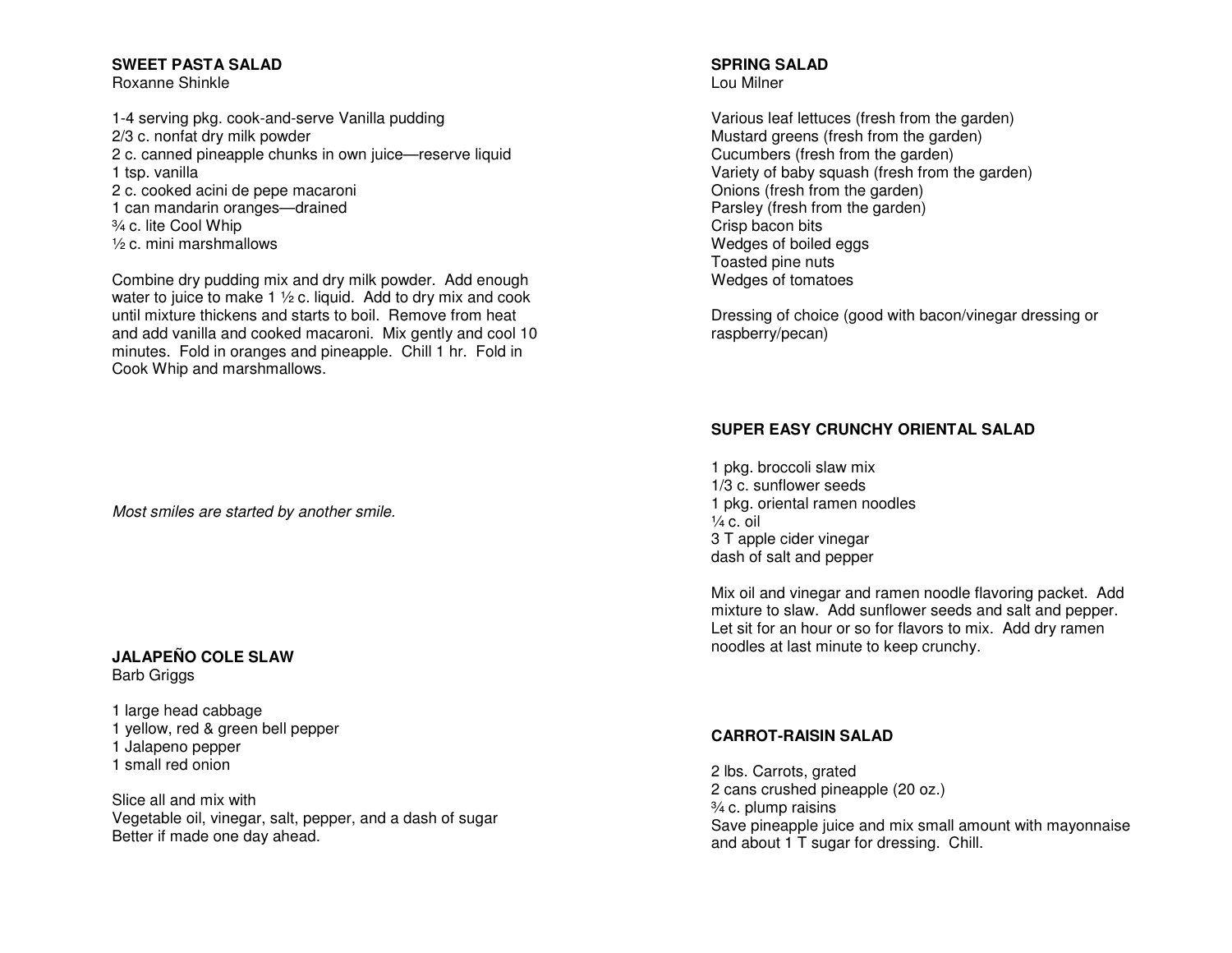## **SWEET PASTA SALAD**

Roxanne Shinkle

1-4 serving pkg. cook-and-serve Vanilla pudding 2/3 c. nonfat dry milk powder 2 c. canned pineapple chunks in own juice—reserve liquid 1 tsp. vanilla 2 c. cooked acini de pepe macaroni 1 can mandarin oranges—drained ¾ c. lite Cool Whip ½ c. mini marshmallows

Combine dry pudding mix and dry milk powder. Add enough water to juice to make 1 ½ c. liquid. Add to dry mix and cook until mixture thickens and starts to boil. Remove from heat and add vanilla and cooked macaroni. Mix gently and cool 10 minutes. Fold in oranges and pineapple. Chill 1 hr. Fold in Cook Whip and marshmallows.

Most smiles are started by another smile.

### **JALAPEÑO COLE SLAW** Barb Griggs

1 large head cabbage 1 yellow, red & green bell pepper 1 Jalapeno pepper 1 small red onion

Slice all and mix with Vegetable oil, vinegar, salt, pepper, and a dash of sugar Better if made one day ahead.

#### **SPRING SALAD** Lou Milner

Various leaf lettuces (fresh from the garden) Mustard greens (fresh from the garden) Cucumbers (fresh from the garden) Variety of baby squash (fresh from the garden) Onions (fresh from the garden) Parsley (fresh from the garden) Crisp bacon bits Wedges of boiled eggs Toasted pine nuts Wedges of tomatoes

Dressing of choice (good with bacon/vinegar dressing or raspberry/pecan)

# **SUPER EASY CRUNCHY ORIENTAL SALAD**

1 pkg. broccoli slaw mix 1/3 c. sunflower seeds 1 pkg. oriental ramen noodles  $\frac{1}{4}$  c. oil 3 T apple cider vinegar dash of salt and pepper

Mix oil and vinegar and ramen noodle flavoring packet. Add mixture to slaw. Add sunflower seeds and salt and pepper. Let sit for an hour or so for flavors to mix. Add dry ramen noodles at last minute to keep crunchy.

## **CARROT-RAISIN SALAD**

2 lbs. Carrots, grated 2 cans crushed pineapple (20 oz.) ¾ c. plump raisins Save pineapple juice and mix small amount with mayonnaise and about 1 T sugar for dressing. Chill.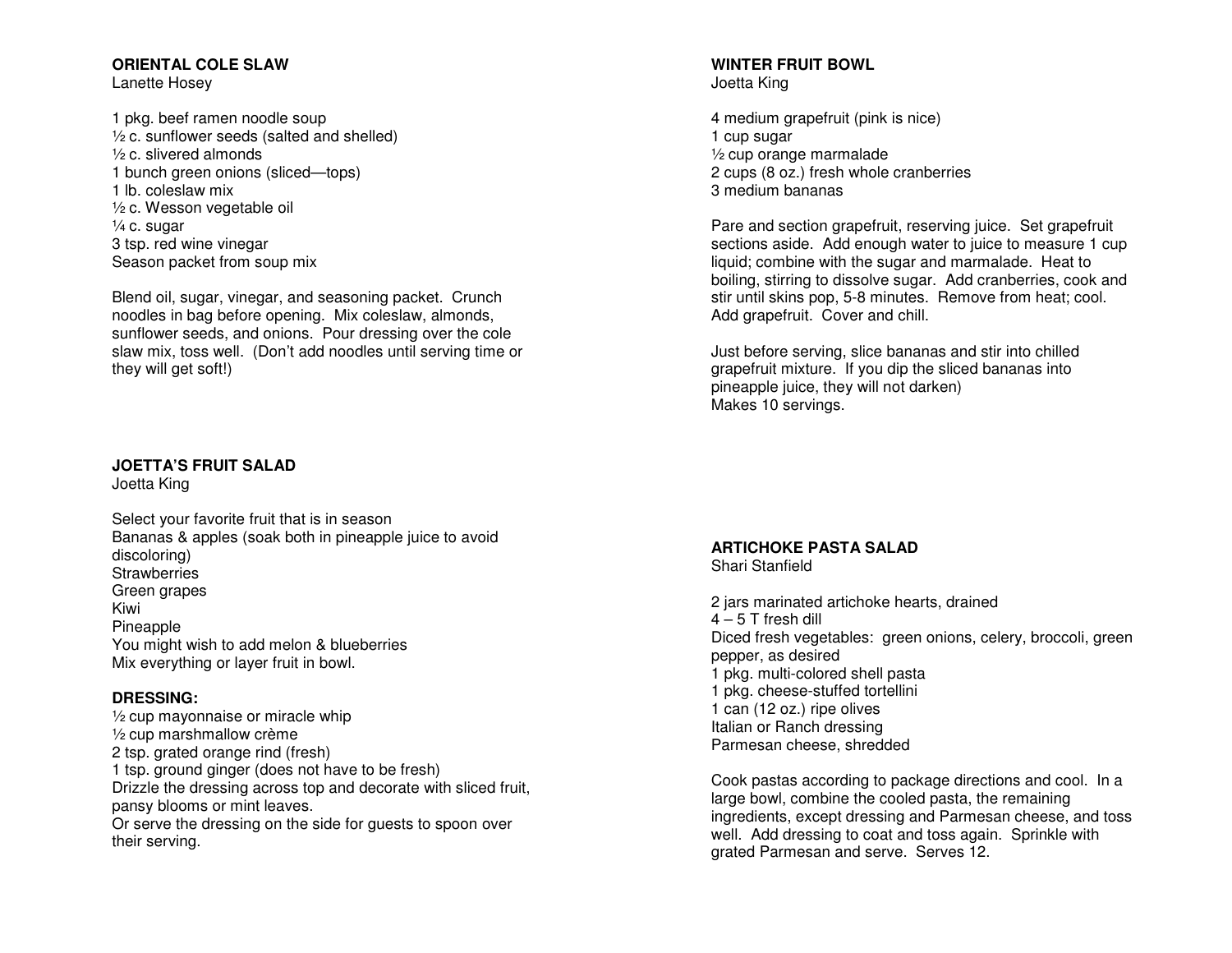# **ORIENTAL COLE SLAW**

Lanette Hosey

1 pkg. beef ramen noodle soup ½ c. sunflower seeds (salted and shelled) ½ c. slivered almonds 1 bunch green onions (sliced—tops) 1 lb. coleslaw mix ½ c. Wesson vegetable oil ¼ c. sugar 3 tsp. red wine vinegar Season packet from soup mix

Blend oil, sugar, vinegar, and seasoning packet. Crunch noodles in bag before opening. Mix coleslaw, almonds, sunflower seeds, and onions. Pour dressing over the cole slaw mix, toss well. (Don't add noodles until serving time or they will get soft!)

# **JOETTA'S FRUIT SALAD**

Joetta King

Select your favorite fruit that is in season Bananas & apples (soak both in pineapple juice to avoid discoloring) Strawberries Green grapes Kiwi Pineapple You might wish to add melon & blueberries Mix everything or layer fruit in bowl.

## **DRESSING:**

 ½ cup mayonnaise or miracle whip ½ cup marshmallow crème 2 tsp. grated orange rind (fresh) 1 tsp. ground ginger (does not have to be fresh) Drizzle the dressing across top and decorate with sliced fruit, pansy blooms or mint leaves. Or serve the dressing on the side for guests to spoon over their serving.

### **WINTER FRUIT BOWL** Joetta King

4 medium grapefruit (pink is nice) 1 cup sugar ½ cup orange marmalade 2 cups (8 oz.) fresh whole cranberries 3 medium bananas

Pare and section grapefruit, reserving juice. Set grapefruit sections aside. Add enough water to juice to measure 1 cup liquid; combine with the sugar and marmalade. Heat to boiling, stirring to dissolve sugar. Add cranberries, cook and stir until skins pop, 5-8 minutes. Remove from heat; cool. Add grapefruit. Cover and chill.

Just before serving, slice bananas and stir into chilled grapefruit mixture. If you dip the sliced bananas into pineapple juice, they will not darken) Makes 10 servings.

# **ARTICHOKE PASTA SALAD**

Shari Stanfield

2 jars marinated artichoke hearts, drained 4 – 5 T fresh dill Diced fresh vegetables: green onions, celery, broccoli, green pepper, as desired 1 pkg. multi-colored shell pasta 1 pkg. cheese-stuffed tortellini 1 can (12 oz.) ripe olives Italian or Ranch dressing Parmesan cheese, shredded

Cook pastas according to package directions and cool. In a large bowl, combine the cooled pasta, the remaining ingredients, except dressing and Parmesan cheese, and toss well. Add dressing to coat and toss again. Sprinkle with grated Parmesan and serve. Serves 12.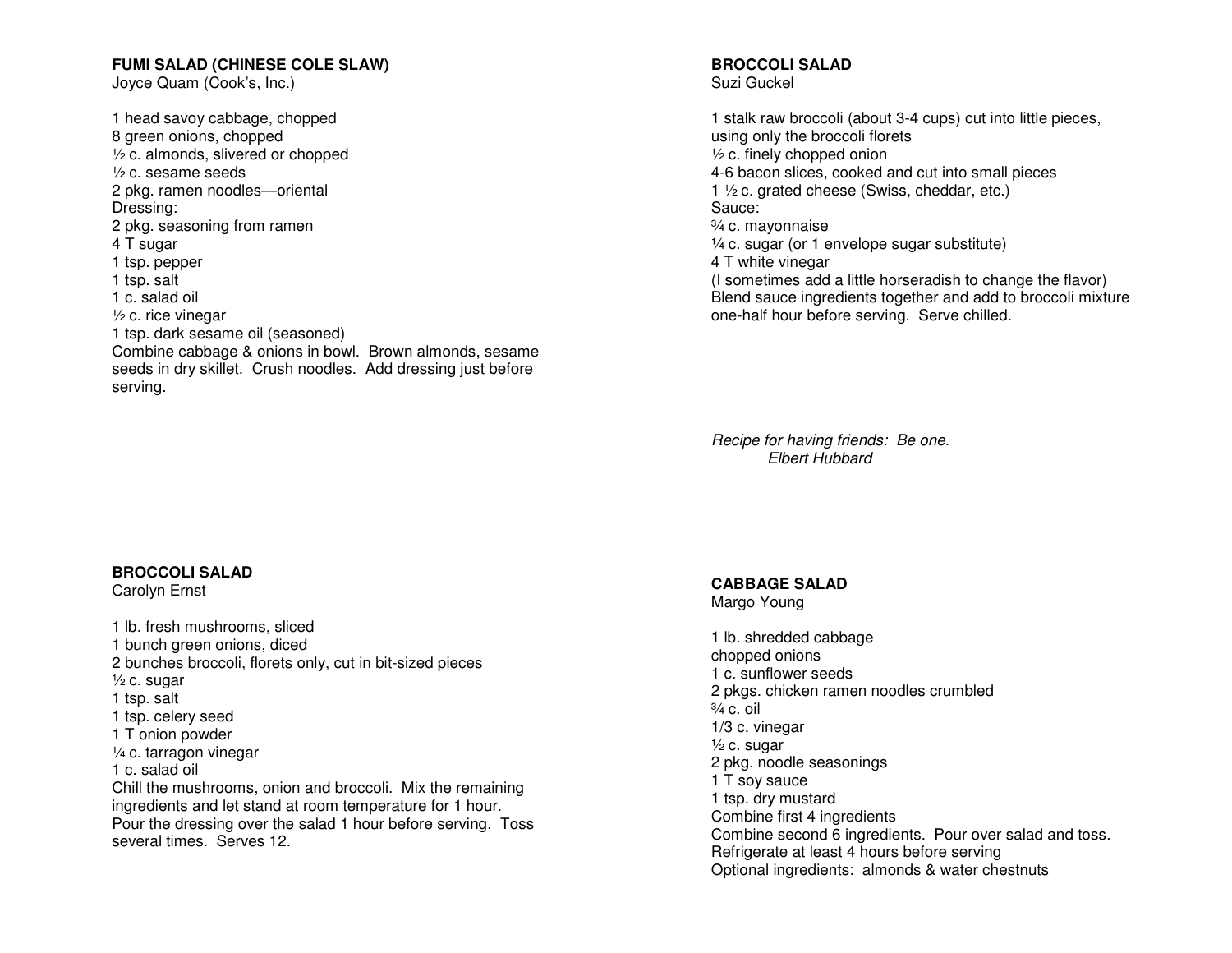### **FUMI SALAD (CHINESE COLE SLAW)**

Joyce Quam (Cook's, Inc.)

1 head savoy cabbage, chopped 8 green onions, chopped ½ c. almonds, slivered or chopped ½ c. sesame seeds 2 pkg. ramen noodles—oriental Dressing: 2 pkg. seasoning from ramen 4 T sugar 1 tsp. pepper 1 tsp. salt 1 c. salad oil ½ c. rice vinegar 1 tsp. dark sesame oil (seasoned) Combine cabbage & onions in bowl. Brown almonds, sesame seeds in dry skillet. Crush noodles. Add dressing just before serving.

# **BROCCOLI SALAD**

Carolyn Ernst

1 lb. fresh mushrooms, sliced 1 bunch green onions, diced 2 bunches broccoli, florets only, cut in bit-sized pieces  $\frac{1}{2}$  c. sugar 1 tsp. salt 1 tsp. celery seed 1 T onion powder ¼ c. tarragon vinegar 1 c. salad oil Chill the mushrooms, onion and broccoli. Mix the remaining ingredients and let stand at room temperature for 1 hour. Pour the dressing over the salad 1 hour before serving. Toss several times. Serves 12.

#### **BROCCOLI SALAD** Suzi Guckel

1 stalk raw broccoli (about 3-4 cups) cut into little pieces, using only the broccoli florets ½ c. finely chopped onion 4-6 bacon slices, cooked and cut into small pieces 1 ½ c. grated cheese (Swiss, cheddar, etc.) Sauce: ¾ c. mayonnaise ¼ c. sugar (or 1 envelope sugar substitute) 4 T white vinegar (I sometimes add a little horseradish to change the flavor) Blend sauce ingredients together and add to broccoli mixture

Recipe for having friends: Be one. Elbert Hubbard

one-half hour before serving. Serve chilled.

**CABBAGE SALAD** 

Margo Young

1 lb. shredded cabbage chopped onions 1 c. sunflower seeds 2 pkgs. chicken ramen noodles crumbled  $\frac{3}{4}$  c. oil 1/3 c. vinegar  $\frac{1}{2}$  c. sugar 2 pkg. noodle seasonings 1 T soy sauce 1 tsp. dry mustard Combine first 4 ingredients Combine second 6 ingredients. Pour over salad and toss. Refrigerate at least 4 hours before serving Optional ingredients: almonds & water chestnuts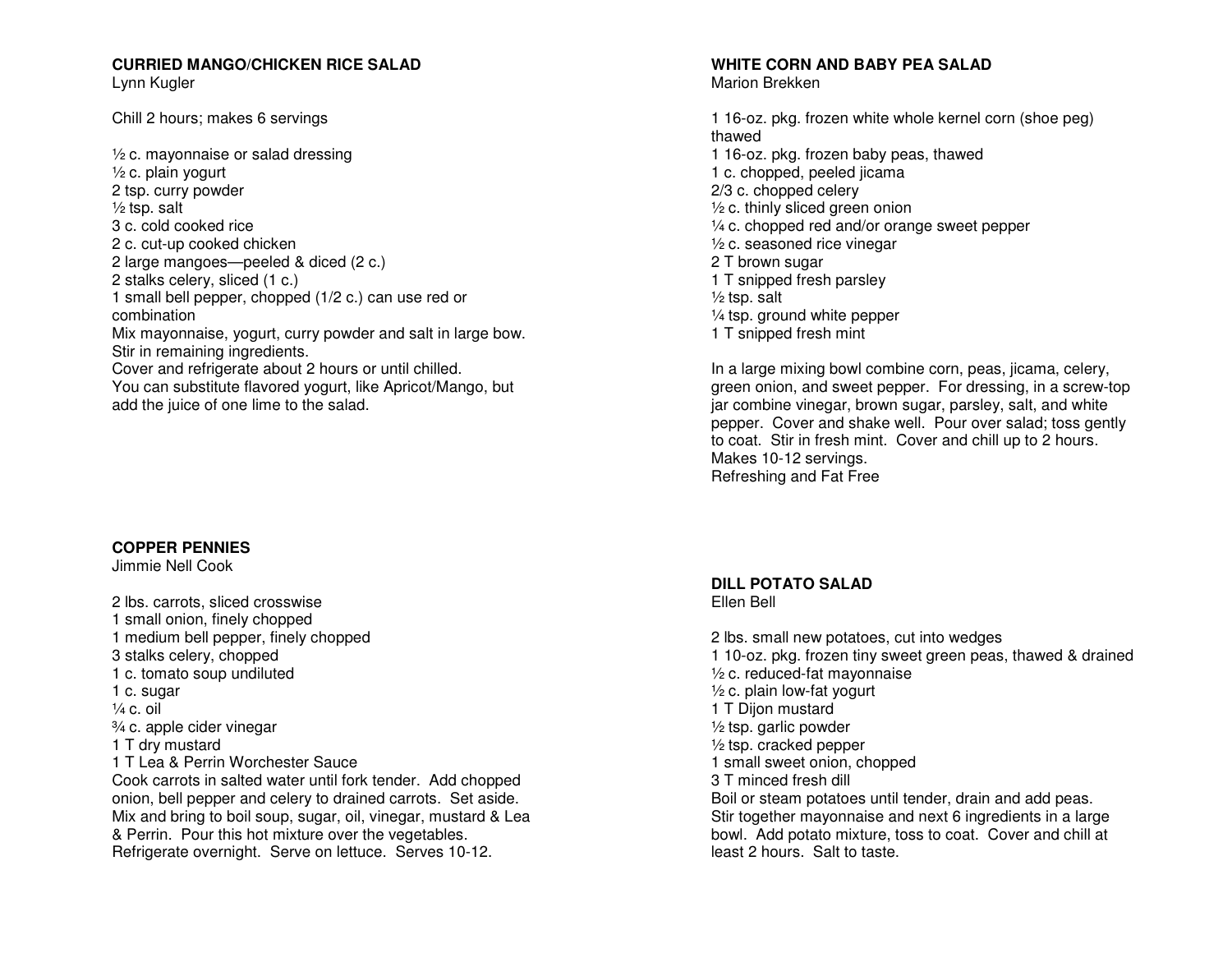# **CURRIED MANGO/CHICKEN RICE SALAD**

Lynn Kugler

Chill 2 hours; makes 6 servings

 $\frac{1}{2}$  c. mayonnaise or salad dressing ½ c. plain yogurt 2 tsp. curry powder  $\frac{1}{2}$  tsp. salt 3 c. cold cooked rice 2 c. cut-up cooked chicken 2 large mangoes—peeled & diced (2 c.) 2 stalks celery, sliced (1 c.) 1 small bell pepper, chopped (1/2 c.) can use red or combination Mix mayonnaise, yogurt, curry powder and salt in large bow. Stir in remaining ingredients. Cover and refrigerate about 2 hours or until chilled. You can substitute flavored yogurt, like Apricot/Mango, but add the juice of one lime to the salad.

# **COPPER PENNIES**

Jimmie Nell Cook

2 lbs. carrots, sliced crosswise 1 small onion, finely chopped 1 medium bell pepper, finely chopped 3 stalks celery, chopped 1 c. tomato soup undiluted 1 c. sugar  $\frac{1}{4}$  c. oil ¾ c. apple cider vinegar 1 T dry mustard 1 T Lea & Perrin Worchester Sauce Cook carrots in salted water until fork tender. Add chopped onion, bell pepper and celery to drained carrots. Set aside. Mix and bring to boil soup, sugar, oil, vinegar, mustard & Lea & Perrin. Pour this hot mixture over the vegetables. Refrigerate overnight. Serve on lettuce. Serves 10-12.

#### **WHITE CORN AND BABY PEA SALAD** Marion Brekken

1 16-oz. pkg. frozen white whole kernel corn (shoe peg) thawed 1 16-oz. pkg. frozen baby peas, thawed 1 c. chopped, peeled jicama 2/3 c. chopped celery ½ c. thinly sliced green onion ¼ c. chopped red and/or orange sweet pepper ½ c. seasoned rice vinegar 2 T brown sugar 1 T snipped fresh parsley  $\frac{1}{2}$  tsp. salt ¼ tsp. ground white pepper 1 T snipped fresh mint

In a large mixing bowl combine corn, peas, jicama, celery, green onion, and sweet pepper. For dressing, in a screw-top jar combine vinegar, brown sugar, parsley, salt, and white pepper. Cover and shake well. Pour over salad; toss gently to coat. Stir in fresh mint. Cover and chill up to 2 hours. Makes 10-12 servings. Refreshing and Fat Free

#### **DILL POTATO SALAD** Ellen Bell

2 lbs. small new potatoes, cut into wedges 1 10-oz. pkg. frozen tiny sweet green peas, thawed & drained ½ c. reduced-fat mayonnaise  $\frac{1}{2}$  c. plain low-fat yogurt 1 T Dijon mustard ½ tsp. garlic powder ½ tsp. cracked pepper 1 small sweet onion, chopped 3 T minced fresh dill Boil or steam potatoes until tender, drain and add peas. Stir together mayonnaise and next 6 ingredients in a large bowl. Add potato mixture, toss to coat. Cover and chill at least 2 hours. Salt to taste.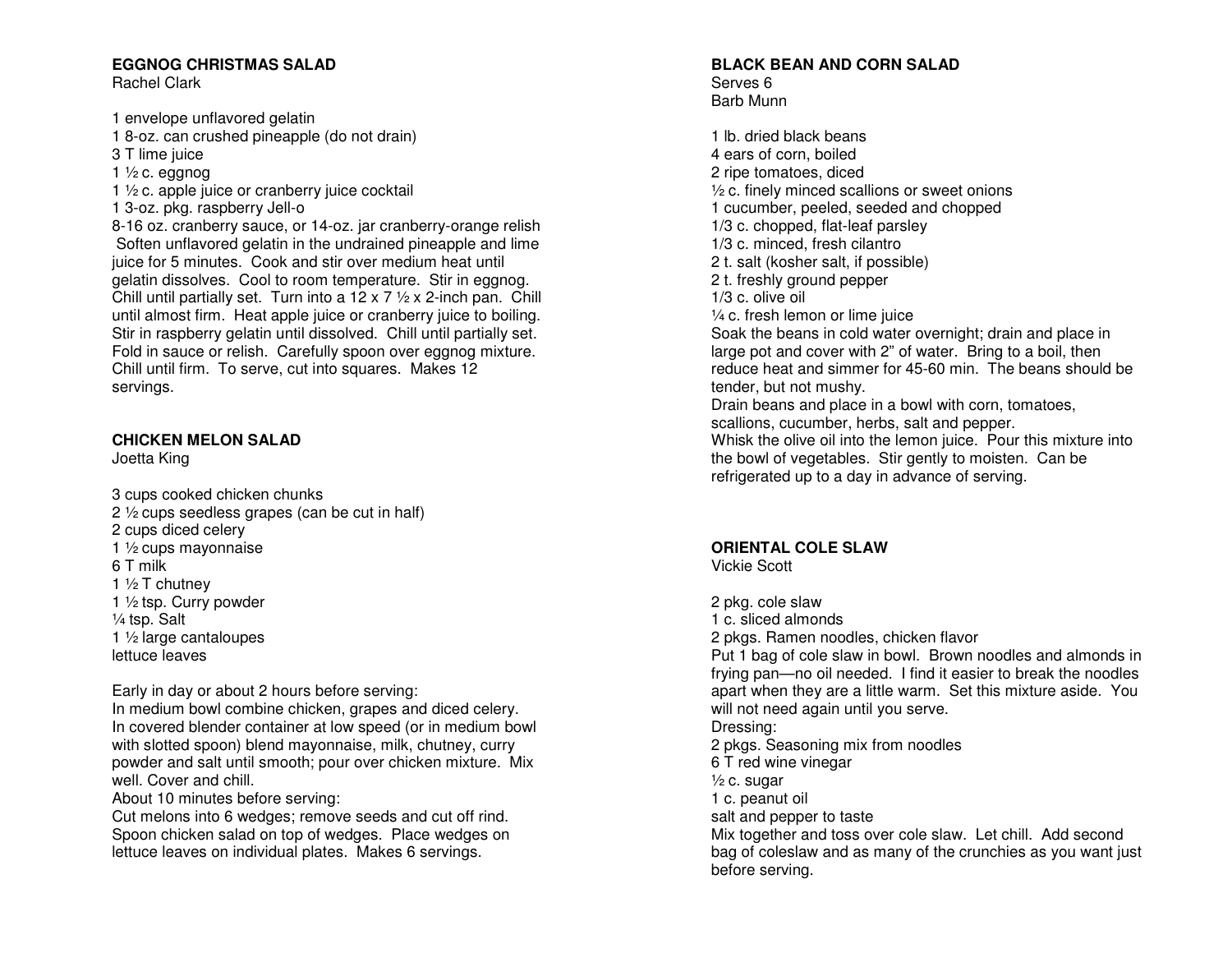# **EGGNOG CHRISTMAS SALAD**

Rachel Clark

1 envelope unflavored gelatin

- 1 8-oz. can crushed pineapple (do not drain)
- 3 T lime juice
- 1  $\frac{1}{2}$  c. eggnog
- 1 ½ c. apple juice or cranberry juice cocktail
- 1 3-oz. pkg. raspberry Jell-o

 8-16 oz. cranberry sauce, or 14-oz. jar cranberry-orange relish Soften unflavored gelatin in the undrained pineapple and lime juice for 5 minutes. Cook and stir over medium heat until gelatin dissolves. Cool to room temperature. Stir in eggnog. Chill until partially set. Turn into a 12 x 7  $\frac{1}{2}$  x 2-inch pan. Chill until almost firm. Heat apple juice or cranberry juice to boiling. Stir in raspberry gelatin until dissolved. Chill until partially set. Fold in sauce or relish. Carefully spoon over eggnog mixture. Chill until firm. To serve, cut into squares. Makes 12 servings.

# **CHICKEN MELON SALAD**

Joetta King

3 cups cooked chicken chunks 2 ½ cups seedless grapes (can be cut in half) 2 cups diced celery 1 ½ cups mayonnaise 6 T milk 1 ½ T chutney 1 ½ tsp. Curry powder ¼ tsp. Salt 1 ½ large cantaloupes lettuce leaves

Early in day or about 2 hours before serving:

 In medium bowl combine chicken, grapes and diced celery. In covered blender container at low speed (or in medium bowl with slotted spoon) blend mayonnaise, milk, chutney, curry powder and salt until smooth; pour over chicken mixture. Mix well. Cover and chill.

About 10 minutes before serving:

 Cut melons into 6 wedges; remove seeds and cut off rind. Spoon chicken salad on top of wedges. Place wedges on lettuce leaves on individual plates. Makes 6 servings.

# **BLACK BEAN AND CORN SALAD**

Serves 6 Barb Munn

1 lb. dried black beans 4 ears of corn, boiled 2 ripe tomatoes, diced ½ c. finely minced scallions or sweet onions 1 cucumber, peeled, seeded and chopped 1/3 c. chopped, flat-leaf parsley 1/3 c. minced, fresh cilantro 2 t. salt (kosher salt, if possible) 2 t. freshly ground pepper 1/3 c. olive oil ¼ c. fresh lemon or lime juice Soak the beans in cold water overnight; drain and place in large pot and cover with 2" of water. Bring to a boil, then reduce heat and simmer for 45-60 min. The beans should be tender, but not mushy. Drain beans and place in a bowl with corn, tomatoes, scallions, cucumber, herbs, salt and pepper. Whisk the olive oil into the lemon juice. Pour this mixture into the bowl of vegetables. Stir gently to moisten. Can be refrigerated up to a day in advance of serving.

# **ORIENTAL COLE SLAW**

Vickie Scott

2 pkg. cole slaw 1 c. sliced almonds 2 pkgs. Ramen noodles, chicken flavor Put 1 bag of cole slaw in bowl. Brown noodles and almonds in frying pan—no oil needed. I find it easier to break the noodles apart when they are a little warm. Set this mixture aside. You will not need again until you serve. Dressing: 2 pkgs. Seasoning mix from noodles 6 T red wine vinegar  $\frac{1}{2}$  c. sugar 1 c. peanut oil salt and pepper to taste Mix together and toss over cole slaw. Let chill. Add second bag of coleslaw and as many of the crunchies as you want just before serving.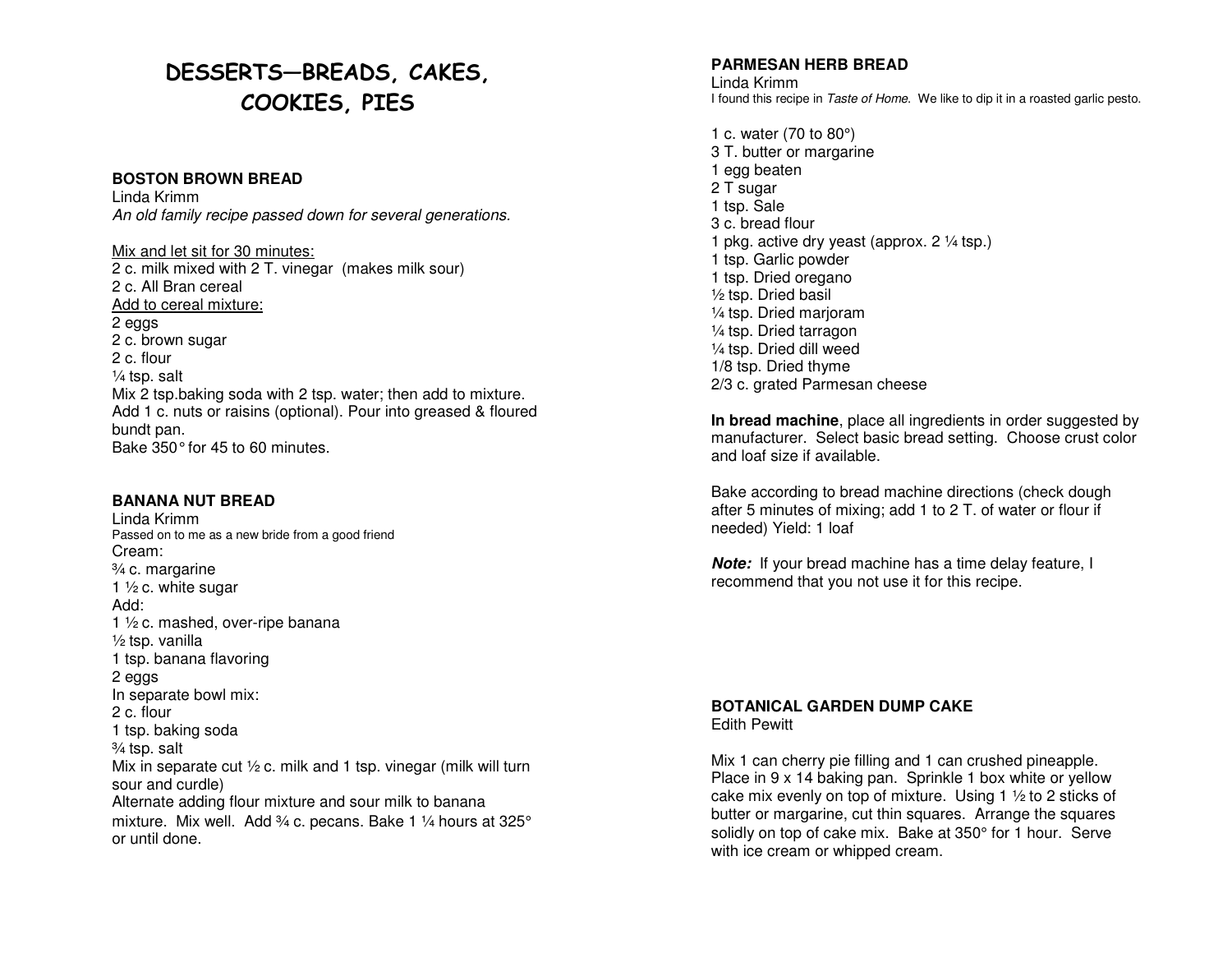# DESSERTS—BREADS, CAKES, COOKIES, PIES

### **BOSTON BROWN BREAD**

Linda Krimm An old family recipe passed down for several generations.

Mix and let sit for 30 minutes: 2 c. milk mixed with 2 T. vinegar (makes milk sour) 2 c. All Bran cereal Add to cereal mixture: 2 eggs 2 c. brown sugar 2 c. flour ¼ tsp. salt Mix 2 tsp.baking soda with 2 tsp. water; then add to mixture. Add 1 c. nuts or raisins (optional). Pour into greased & floured bundt pan. Bake 350° for 45 to 60 minutes.

#### **BANANA NUT BREAD**

Linda Krimm Passed on to me as a new bride from a good friend Cream: ¾ c. margarine 1 ½ c. white sugar Add: 1 ½ c. mashed, over-ripe banana ½ tsp. vanilla 1 tsp. banana flavoring 2 eggs In separate bowl mix: 2 c. flour 1 tsp. baking soda ¾ tsp. salt Mix in separate cut 1/2 c. milk and 1 tsp. vinegar (milk will turn sour and curdle) Alternate adding flour mixture and sour milk to banana mixture. Mix well. Add  $\frac{3}{4}$  c. pecans. Bake 1  $\frac{1}{4}$  hours at 325° or until done.

### **PARMESAN HERB BREAD**

Linda Krimm I found this recipe in Taste of Home. We like to dip it in a roasted garlic pesto.

1 c. water (70 to 80°) 3 T. butter or margarine 1 egg beaten 2 T sugar 1 tsp. Sale 3 c. bread flour 1 pkg. active dry yeast (approx.  $2\frac{1}{4}$  tsp.) 1 tsp. Garlic powder 1 tsp. Dried oregano ½ tsp. Dried basil ¼ tsp. Dried marjoram ¼ tsp. Dried tarragon ¼ tsp. Dried dill weed 1/8 tsp. Dried thyme 2/3 c. grated Parmesan cheese

**In bread machine**, place all ingredients in order suggested by manufacturer. Select basic bread setting. Choose crust color and loaf size if available.

Bake according to bread machine directions (check dough after 5 minutes of mixing; add 1 to 2 T. of water or flour if needed) Yield: 1 loaf

**Note:** If your bread machine has a time delay feature, Irecommend that you not use it for this recipe.

#### **BOTANICAL GARDEN DUMP CAKE** Edith Pewitt

Mix 1 can cherry pie filling and 1 can crushed pineapple. Place in 9 x 14 baking pan. Sprinkle 1 box white or yellow cake mix evenly on top of mixture. Using 1 ½ to 2 sticks of butter or margarine, cut thin squares. Arrange the squares solidly on top of cake mix. Bake at 350° for 1 hour. Serve with ice cream or whipped cream.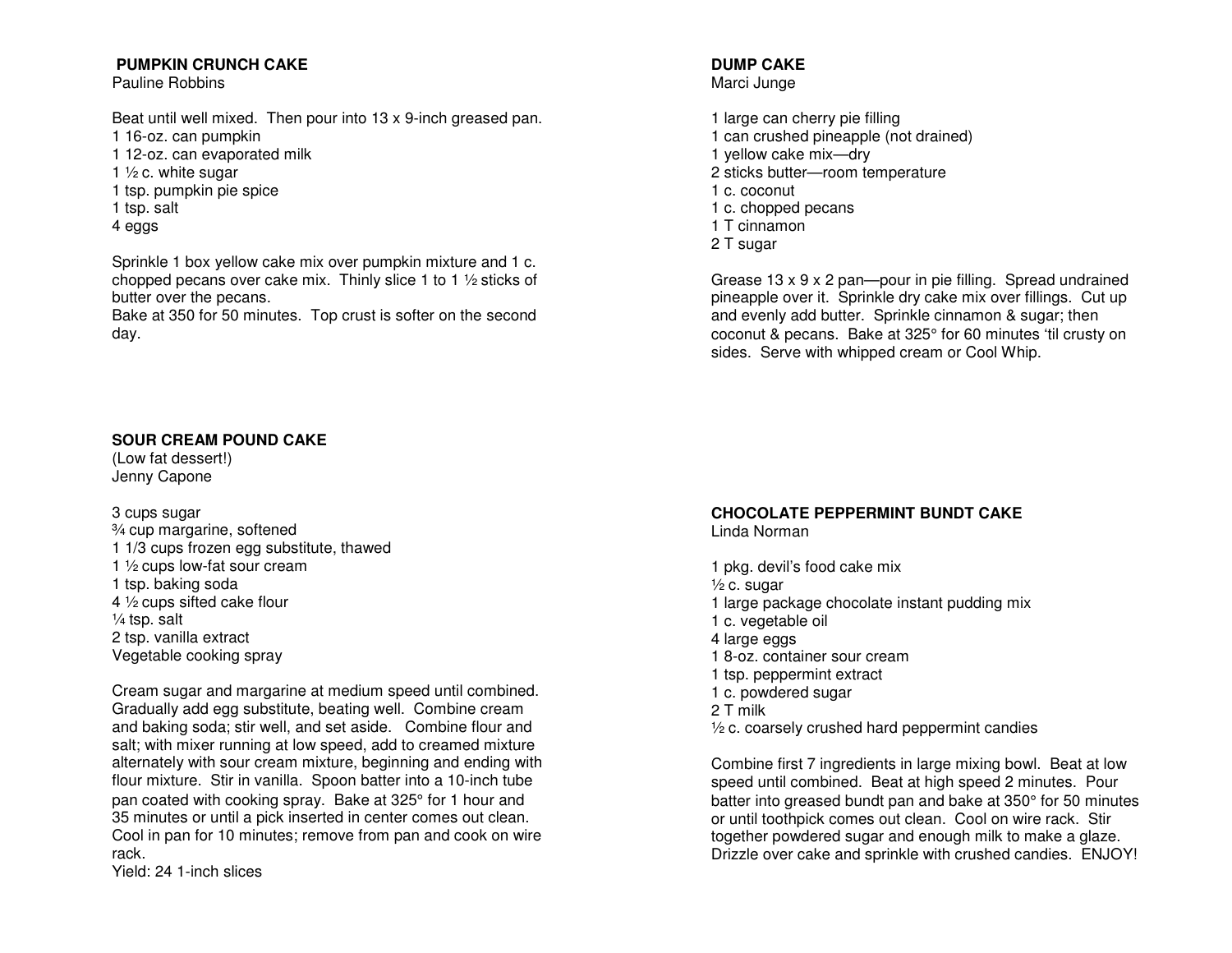# **PUMPKIN CRUNCH CAKE**

Pauline Robbins

Beat until well mixed. Then pour into 13 x 9-inch greased pan.

- 1 16-oz. can pumpkin
- 1 12-oz. can evaporated milk
- 1  $\frac{1}{2}$  c. white sugar
- 1 tsp. pumpkin pie spice
- 1 tsp. salt
- 4 eggs

Sprinkle 1 box yellow cake mix over pumpkin mixture and 1 c. chopped pecans over cake mix. Thinly slice 1 to 1  $\frac{1}{2}$  sticks of butter over the pecans.

 Bake at 350 for 50 minutes. Top crust is softer on the second day.

# **SOUR CREAM POUND CAKE**

(Low fat dessert!) Jenny Capone

3 cups sugar ¾ cup margarine, softened 1 1/3 cups frozen egg substitute, thawed 1 ½ cups low-fat sour cream 1 tsp. baking soda 4 ½ cups sifted cake flour ¼ tsp. salt 2 tsp. vanilla extract Vegetable cooking spray

Cream sugar and margarine at medium speed until combined. Gradually add egg substitute, beating well. Combine cream and baking soda; stir well, and set aside. Combine flour and salt; with mixer running at low speed, add to creamed mixture alternately with sour cream mixture, beginning and ending with flour mixture. Stir in vanilla. Spoon batter into a 10-inch tube pan coated with cooking spray. Bake at 325° for 1 hour and 35 minutes or until a pick inserted in center comes out clean. Cool in pan for 10 minutes; remove from pan and cook on wire rack.

Yield: 24 1-inch slices

# **DUMP CAKE**

Marci Junge

1 large can cherry pie filling 1 can crushed pineapple (not drained) 1 yellow cake mix—dry 2 sticks butter—room temperature 1 c. coconut 1 c. chopped pecans 1 T cinnamon 2 T sugar

Grease 13 x 9 x 2 pan—pour in pie filling. Spread undrained pineapple over it. Sprinkle dry cake mix over fillings. Cut up and evenly add butter. Sprinkle cinnamon & sugar; then coconut & pecans. Bake at 325° for 60 minutes 'til crusty on sides. Serve with whipped cream or Cool Whip.

# **CHOCOLATE PEPPERMINT BUNDT CAKE**

Linda Norman

1 pkg. devil's food cake mix ½ c. sugar 1 large package chocolate instant pudding mix 1 c. vegetable oil 4 large eggs 1 8-oz. container sour cream 1 tsp. peppermint extract 1 c. powdered sugar 2 T milk ½ c. coarsely crushed hard peppermint candies

Combine first 7 ingredients in large mixing bowl. Beat at low speed until combined. Beat at high speed 2 minutes. Pour batter into greased bundt pan and bake at 350° for 50 minutes or until toothpick comes out clean. Cool on wire rack. Stir together powdered sugar and enough milk to make a glaze. Drizzle over cake and sprinkle with crushed candies. ENJOY!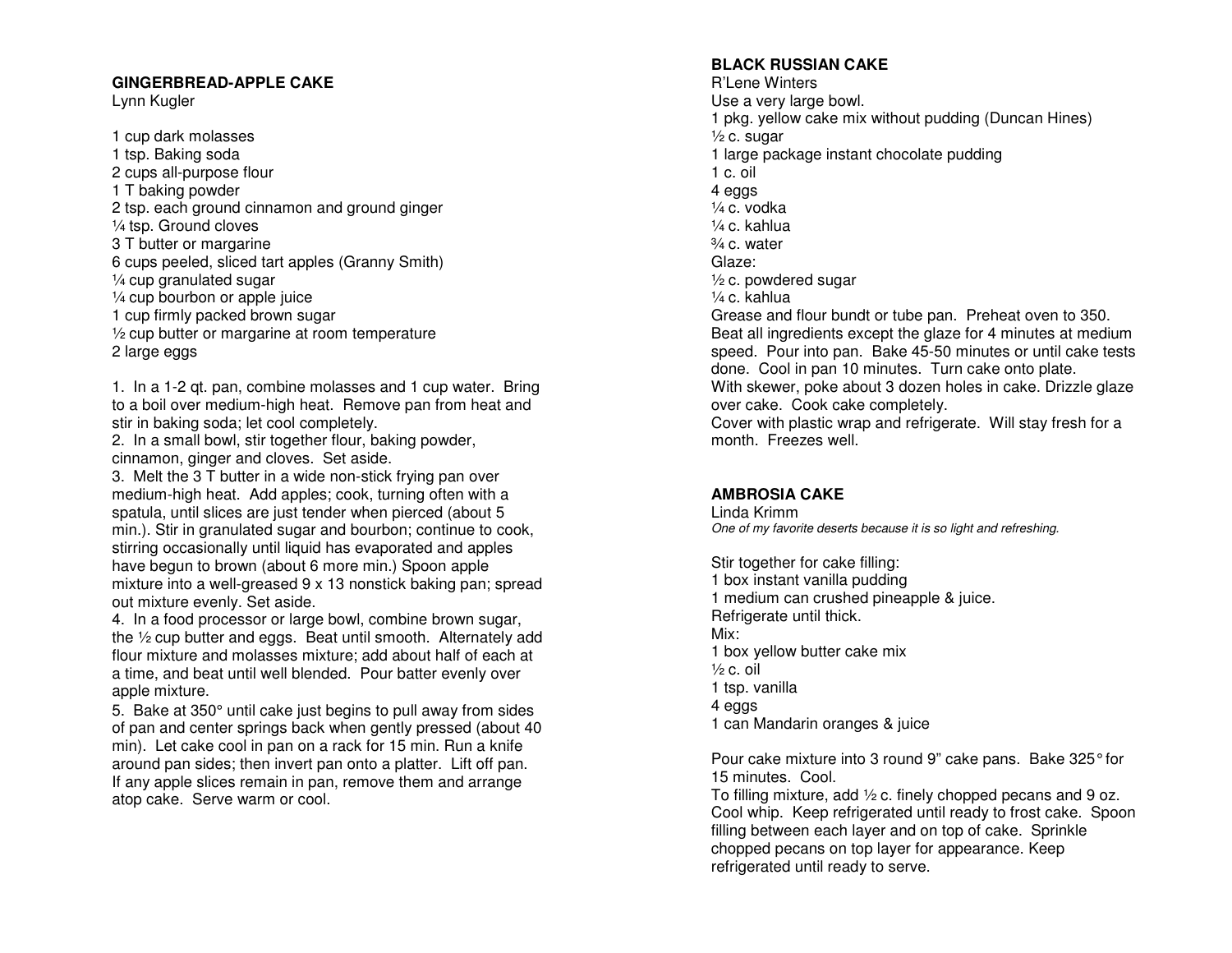### **GINGERBREAD-APPLE CAKE**

Lynn Kugler

1 cup dark molasses 1 tsp. Baking soda 2 cups all-purpose flour 1 T baking powder 2 tsp. each ground cinnamon and ground ginger ¼ tsp. Ground cloves 3 T butter or margarine 6 cups peeled, sliced tart apples (Granny Smith) ¼ cup granulated sugar ¼ cup bourbon or apple juice 1 cup firmly packed brown sugar ½ cup butter or margarine at room temperature 2 large eggs

1. In a 1-2 qt. pan, combine molasses and 1 cup water. Bring to a boil over medium-high heat. Remove pan from heat and stir in baking soda; let cool completely.

 2. In a small bowl, stir together flour, baking powder, cinnamon, ginger and cloves. Set aside.

 3. Melt the 3 T butter in a wide non-stick frying pan over medium-high heat. Add apples; cook, turning often with a spatula, until slices are just tender when pierced (about 5 min.). Stir in granulated sugar and bourbon; continue to cook, stirring occasionally until liquid has evaporated and apples have begun to brown (about 6 more min.) Spoon apple mixture into a well-greased 9 x 13 nonstick baking pan; spread out mixture evenly. Set aside.

 4. In a food processor or large bowl, combine brown sugar, the ½ cup butter and eggs. Beat until smooth. Alternately add flour mixture and molasses mixture; add about half of each at a time, and beat until well blended. Pour batter evenly over apple mixture.

5. Bake at 350° until cake just begins to pull away from sides of pan and center springs back when gently pressed (about 40 min). Let cake cool in pan on a rack for 15 min. Run a knife around pan sides; then invert pan onto a platter. Lift off pan. If any apple slices remain in pan, remove them and arrange atop cake. Serve warm or cool.

## **BLACK RUSSIAN CAKE**

R'Lene Winters Use a very large bowl. 1 pkg. yellow cake mix without pudding (Duncan Hines)  $\frac{1}{2}$  c. sugar 1 large package instant chocolate pudding 1 c. oil 4 eggs ¼ c. vodka ¼ c. kahlua  $\frac{3}{4}$  c. water Glaze: ½ c. powdered sugar ¼ c. kahlua Grease and flour bundt or tube pan. Preheat oven to 350. Beat all ingredients except the glaze for 4 minutes at medium speed. Pour into pan. Bake 45-50 minutes or until cake tests done. Cool in pan 10 minutes. Turn cake onto plate. With skewer, poke about 3 dozen holes in cake. Drizzle glaze over cake. Cook cake completely. Cover with plastic wrap and refrigerate. Will stay fresh for a month. Freezes well.

# **AMBROSIA CAKE**

Linda Krimm One of my favorite deserts because it is so light and refreshing.

Stir together for cake filling: 1 box instant vanilla pudding 1 medium can crushed pineapple & juice. Refrigerate until thick. Mix: 1 box yellow butter cake mix  $\frac{1}{2}$  c. oil 1 tsp. vanilla 4 eggs 1 can Mandarin oranges & juice

Pour cake mixture into 3 round 9" cake pans. Bake 325° for 15 minutes. Cool.

 To filling mixture, add ½ c. finely chopped pecans and 9 oz. Cool whip. Keep refrigerated until ready to frost cake. Spoon filling between each layer and on top of cake. Sprinkle chopped pecans on top layer for appearance. Keep refrigerated until ready to serve.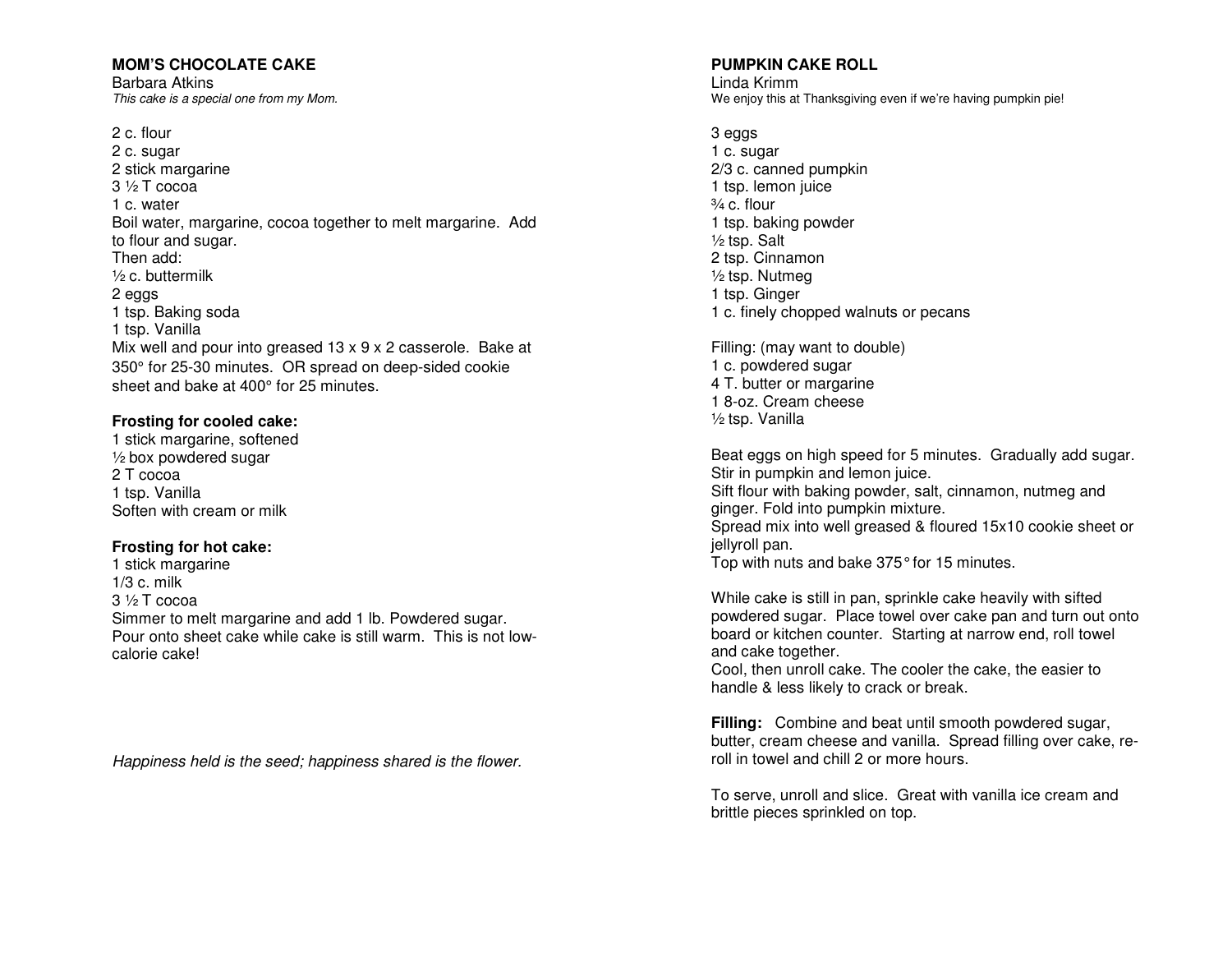## **MOM'S CHOCOLATE CAKE**

Barbara Atkins This cake is a special one from my Mom.

2 c. flour 2 c. sugar 2 stick margarine 3 ½ T cocoa 1 c. water Boil water, margarine, cocoa together to melt margarine. Add to flour and sugar. Then add: ½ c. buttermilk 2 eggs 1 tsp. Baking soda 1 tsp. Vanilla Mix well and pour into greased 13 x 9 x 2 casserole. Bake at 350° for 25-30 minutes. OR spread on deep-sided cookiesheet and bake at 400° for 25 minutes.

### **Frosting for cooled cake:**

 1 stick margarine, softened  $\frac{1}{2}$  box powdered sugar 2 T cocoa 1 tsp. Vanilla Soften with cream or milk

## **Frosting for hot cake:**

1 stick margarine 1/3 c. milk 3 ½ T cocoa Simmer to melt margarine and add 1 lb. Powdered sugar. Pour onto sheet cake while cake is still warm. This is not lowcalorie cake!

Happiness held is the seed; happiness shared is the flower.

#### **PUMPKIN CAKE ROLL**

Linda Krimm We enjoy this at Thanksgiving even if we're having pumpkin pie!

3 eggs 1 c. sugar 2/3 c. canned pumpkin 1 tsp. lemon juice ¾ c. flour 1 tsp. baking powder ½ tsp. Salt 2 tsp. Cinnamon ½ tsp. Nutmeg 1 tsp. Ginger 1 c. finely chopped walnuts or pecans

Filling: (may want to double) 1 c. powdered sugar 4 T. butter or margarine 1 8-oz. Cream cheese ½ tsp. Vanilla

Beat eggs on high speed for 5 minutes. Gradually add sugar. Stir in pumpkin and lemon juice. Sift flour with baking powder, salt, cinnamon, nutmeg and ginger. Fold into pumpkin mixture. Spread mix into well greased & floured 15x10 cookie sheet or jellyroll pan. Top with nuts and bake 375° for 15 minutes.

While cake is still in pan, sprinkle cake heavily with sifted powdered sugar. Place towel over cake pan and turn out onto board or kitchen counter. Starting at narrow end, roll towel and cake together.

 Cool, then unroll cake. The cooler the cake, the easier to handle & less likely to crack or break.

**Filling:** Combine and beat until smooth powdered sugar, butter, cream cheese and vanilla. Spread filling over cake, reroll in towel and chill 2 or more hours.

To serve, unroll and slice. Great with vanilla ice cream and brittle pieces sprinkled on top.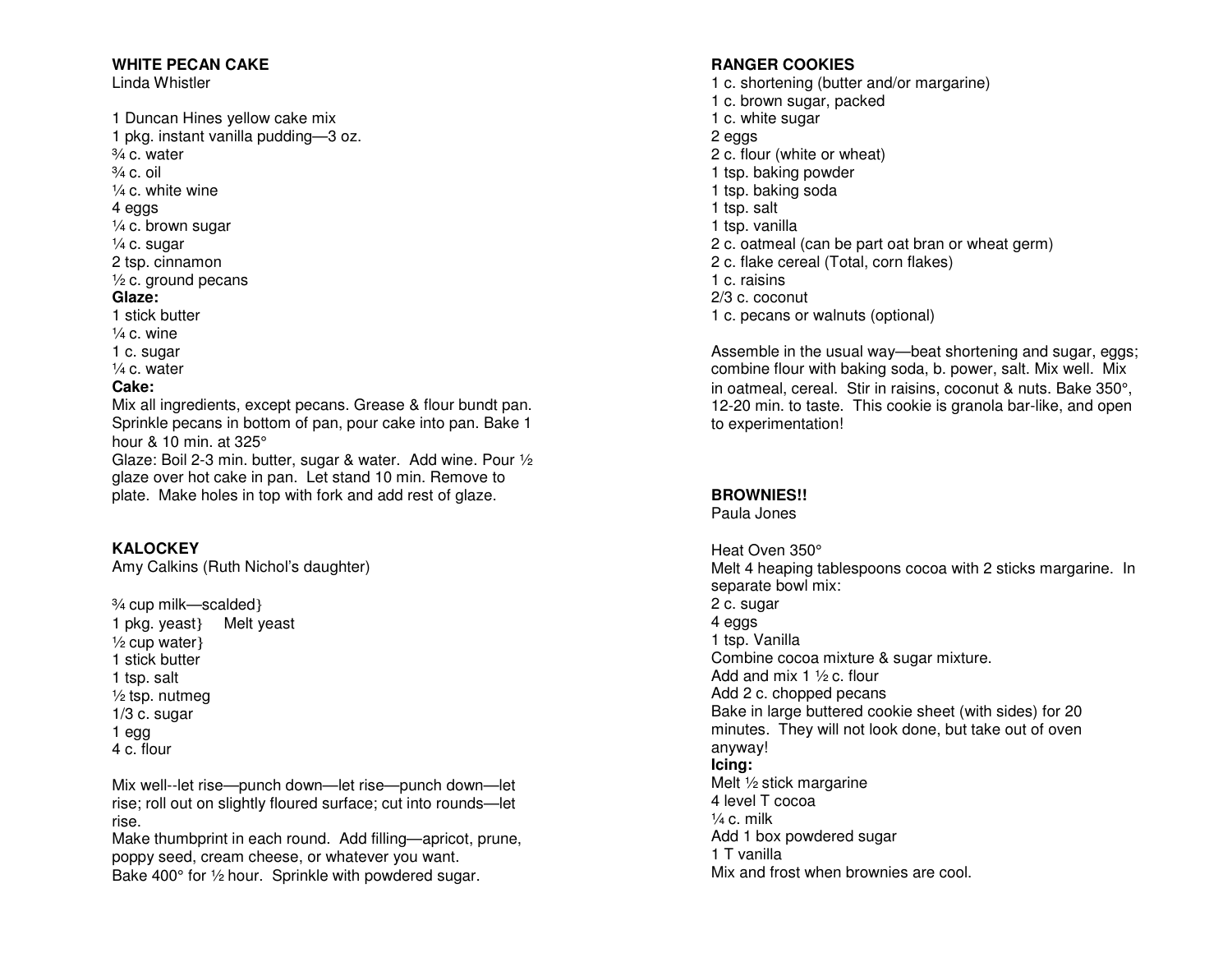## **WHITE PECAN CAKE**

Linda Whistler

- 1 Duncan Hines yellow cake mix
- 1 pkg. instant vanilla pudding—3 oz.

¾ c. water  $\frac{3}{4}$  c. oil

¼ c. white wine

4 eggs

¼ c. brown sugar

 $\frac{1}{4}$  c. sugar

2 tsp. cinnamon

½ c. ground pecans

### **Glaze:**

- 1 stick butter  $\frac{1}{4}$  c. wine 1 c. sugar
- $\frac{1}{4}$  c. water

# **Cake:**

 Mix all ingredients, except pecans. Grease & flour bundt pan. Sprinkle pecans in bottom of pan, pour cake into pan. Bake 1 hour & 10 min. at 325°

 Glaze: Boil 2-3 min. butter, sugar & water. Add wine. Pour ½ glaze over hot cake in pan. Let stand 10 min. Remove to plate. Make holes in top with fork and add rest of glaze.

# **KALOCKEY**

Amy Calkins (Ruth Nichol's daughter)

¾ cup milk—scalded} 1 pkg. yeast} Melt yeast ½ cup water} 1 stick butter 1 tsp. salt ½ tsp. nutmeg 1/3 c. sugar 1 egg 4 c. flour

Mix well--let rise—punch down—let rise—punch down—let rise; roll out on slightly floured surface; cut into rounds—let rise.

 Make thumbprint in each round. Add filling—apricot, prune, poppy seed, cream cheese, or whatever you want. Bake 400° for 1/2 hour. Sprinkle with powdered sugar.

# **RANGER COOKIES**

 1 c. shortening (butter and/or margarine) 1 c. brown sugar, packed 1 c. white sugar 2 eggs 2 c. flour (white or wheat) 1 tsp. baking powder 1 tsp. baking soda 1 tsp. salt 1 tsp. vanilla 2 c. oatmeal (can be part oat bran or wheat germ) 2 c. flake cereal (Total, corn flakes) 1 c. raisins 2/3 c. coconut 1 c. pecans or walnuts (optional)

Assemble in the usual way—beat shortening and sugar, eggs; combine flour with baking soda, b. power, salt. Mix well. Mix in oatmeal, cereal. Stir in raisins, coconut & nuts. Bake 350°, 12-20 min. to taste. This cookie is granola bar-like, and open to experimentation!

# **BROWNIES!!**

Paula Jones

Heat Oven 350° Melt 4 heaping tablespoons cocoa with 2 sticks margarine. In separate bowl mix: 2 c. sugar 4 eggs 1 tsp. Vanilla Combine cocoa mixture & sugar mixture. Add and mix 1  $\frac{1}{2}$  c. flour Add 2 c. chopped pecans Bake in large buttered cookie sheet (with sides) for 20 minutes. They will not look done, but take out of oven anyway! **Icing:**  Melt ½ stick margarine 4 level T cocoa  $\frac{1}{4}$  c. milk Add 1 box powdered sugar 1 T vanilla Mix and frost when brownies are cool.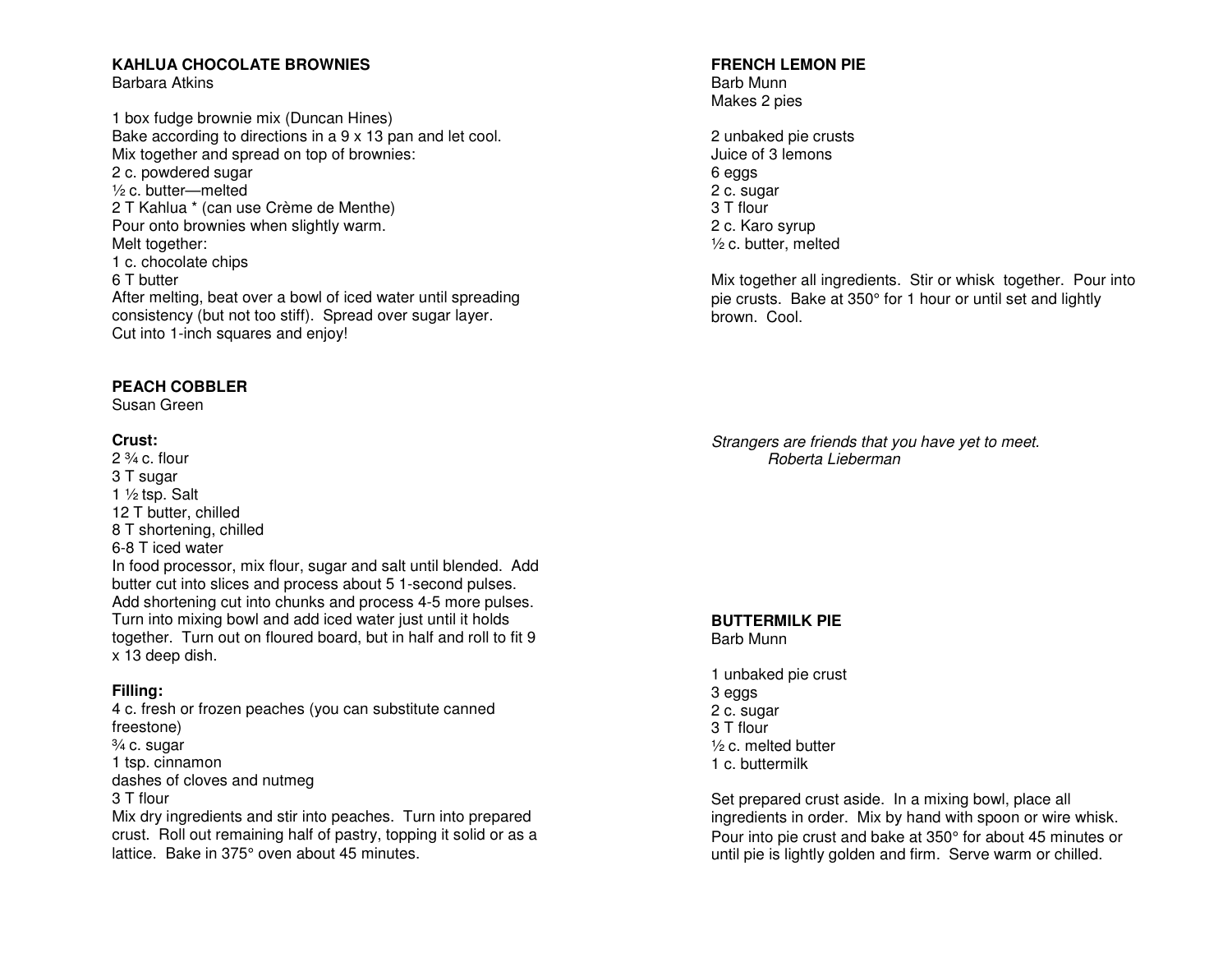# **KAHLUA CHOCOLATE BROWNIES**

Barbara Atkins

1 box fudge brownie mix (Duncan Hines) Bake according to directions in a 9 x 13 pan and let cool. Mix together and spread on top of brownies: 2 c. powdered sugar ½ c. butter—melted 2 T Kahlua \* (can use Crème de Menthe) Pour onto brownies when slightly warm. Melt together: 1 c. chocolate chips 6 T butter After melting, beat over a bowl of iced water until spreading consistency (but not too stiff). Spread over sugar layer. Cut into 1-inch squares and enjoy!

# **PEACH COBBLER**

Susan Green

## **Crust:**

 $2\frac{3}{4}$  c. flour 3 T sugar 1 ½ tsp. Salt 12 T butter, chilled 8 T shortening, chilled 6-8 T iced water In food processor, mix flour, sugar and salt until blended. Add butter cut into slices and process about 5 1-second pulses. Add shortening cut into chunks and process 4-5 more pulses. Turn into mixing bowl and add iced water just until it holds together. Turn out on floured board, but in half and roll to fit 9 x 13 deep dish.

# **Filling:**

 4 c. fresh or frozen peaches (you can substitute canned freestone) ¾ c. sugar 1 tsp. cinnamon dashes of cloves and nutmeg 3 T flour Mix dry ingredients and stir into peaches. Turn into prepared crust. Roll out remaining half of pastry, topping it solid or as a lattice. Bake in 375° oven about 45 minutes.

# **FRENCH LEMON PIE**

Barb Munn Makes 2 pies

2 unbaked pie crusts Juice of 3 lemons 6 eggs 2 c. sugar 3 T flour 2 c. Karo syrup ½ c. butter, melted

Mix together all ingredients. Stir or whisk together. Pour into pie crusts. Bake at 350° for 1 hour or until set and lightly brown. Cool.

Strangers are friends that you have yet to meet. Roberta Lieberman

**BUTTERMILK PIE** Barb Munn

1 unbaked pie crust 3 eggs 2 c. sugar 3 T flour ½ c. melted butter 1 c. buttermilk

Set prepared crust aside. In a mixing bowl, place all ingredients in order. Mix by hand with spoon or wire whisk. Pour into pie crust and bake at 350° for about 45 minutes or until pie is lightly golden and firm. Serve warm or chilled.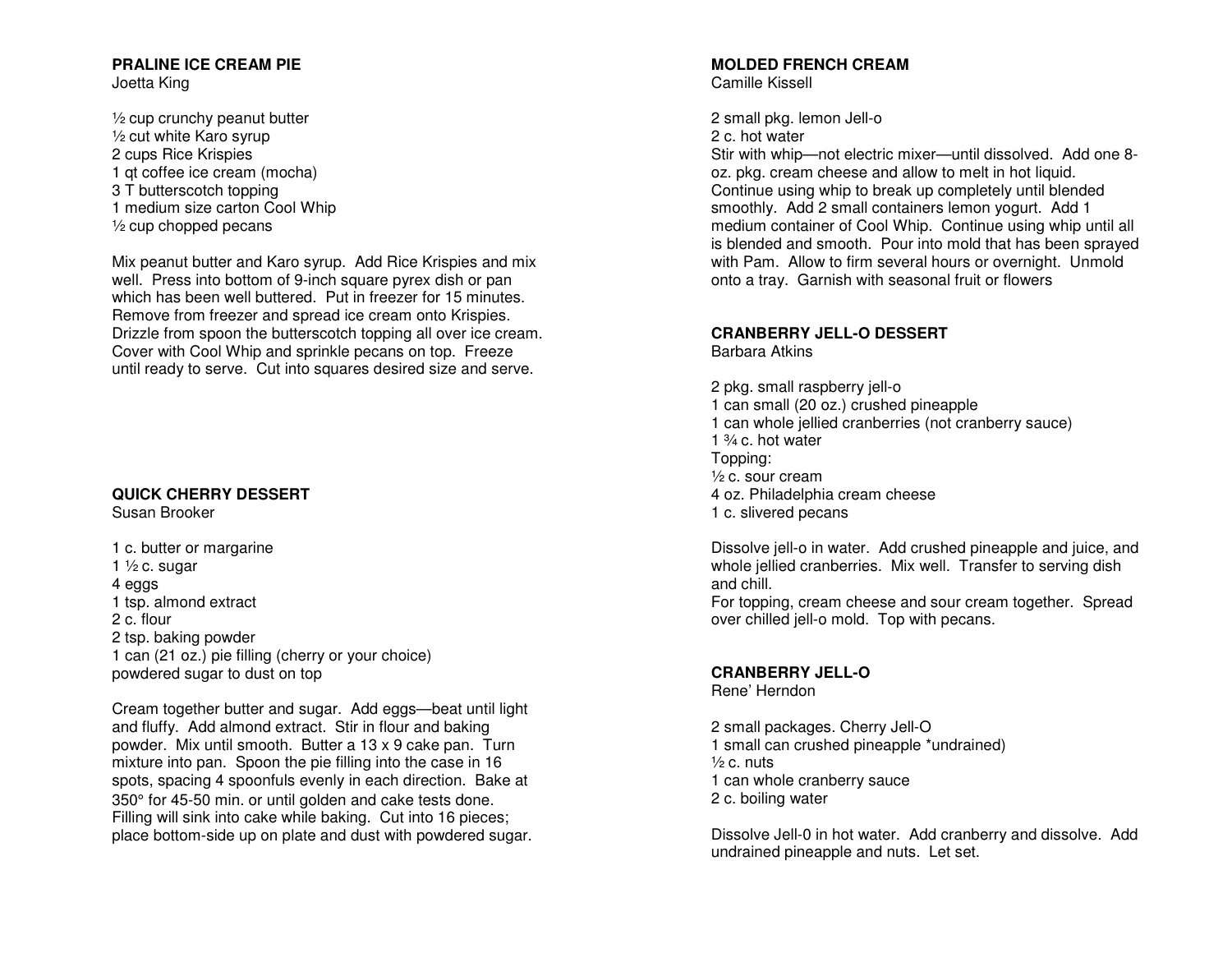#### **PRALINE ICE CREAM PIE** Joetta King

½ cup crunchy peanut butter ½ cut white Karo syrup 2 cups Rice Krispies 1 qt coffee ice cream (mocha) 3 T butterscotch topping 1 medium size carton Cool Whip  $\frac{1}{2}$  cup chopped pecans

Mix peanut butter and Karo syrup. Add Rice Krispies and mix well. Press into bottom of 9-inch square pyrex dish or pan which has been well buttered. Put in freezer for 15 minutes. Remove from freezer and spread ice cream onto Krispies. Drizzle from spoon the butterscotch topping all over ice cream. Cover with Cool Whip and sprinkle pecans on top. Freeze until ready to serve. Cut into squares desired size and serve.

# **QUICK CHERRY DESSERT**

Susan Brooker

1 c. butter or margarine 1  $\frac{1}{2}$  c. sugar 4 eggs 1 tsp. almond extract 2 c. flour 2 tsp. baking powder 1 can (21 oz.) pie filling (cherry or your choice) powdered sugar to dust on top

Cream together butter and sugar. Add eggs—beat until light and fluffy. Add almond extract. Stir in flour and baking powder. Mix until smooth. Butter a 13 x 9 cake pan. Turn mixture into pan. Spoon the pie filling into the case in 16 spots, spacing 4 spoonfuls evenly in each direction. Bake at 350° for 45-50 min. or until golden and cake tests done. Filling will sink into cake while baking. Cut into 16 pieces; place bottom-side up on plate and dust with powdered sugar.

#### **MOLDED FRENCH CREAM** Camille Kissell

2 small pkg. lemon Jell-o

2 c. hot water

 Stir with whip—not electric mixer—until dissolved. Add one 8oz. pkg. cream cheese and allow to melt in hot liquid. Continue using whip to break up completely until blended smoothly. Add 2 small containers lemon yogurt. Add 1 medium container of Cool Whip. Continue using whip until all is blended and smooth. Pour into mold that has been sprayed with Pam. Allow to firm several hours or overnight. Unmold onto a tray. Garnish with seasonal fruit or flowers

# **CRANBERRY JELL-O DESSERT**

Barbara Atkins

2 pkg. small raspberry jell-o 1 can small (20 oz.) crushed pineapple 1 can whole jellied cranberries (not cranberry sauce) 1  $\frac{3}{4}$  c. hot water Topping: ½ c. sour cream 4 oz. Philadelphia cream cheese 1 c. slivered pecans

Dissolve jell-o in water. Add crushed pineapple and juice, and whole jellied cranberries. Mix well. Transfer to serving dish and chill. For topping, cream cheese and sour cream together. Spread over chilled jell-o mold. Top with pecans.

## **CRANBERRY JELL-O**

Rene' Herndon

2 small packages. Cherry Jell-O 1 small can crushed pineapple \*undrained)  $\frac{1}{2}$  c. nuts 1 can whole cranberry sauce 2 c. boiling water

Dissolve Jell-0 in hot water. Add cranberry and dissolve. Add undrained pineapple and nuts. Let set.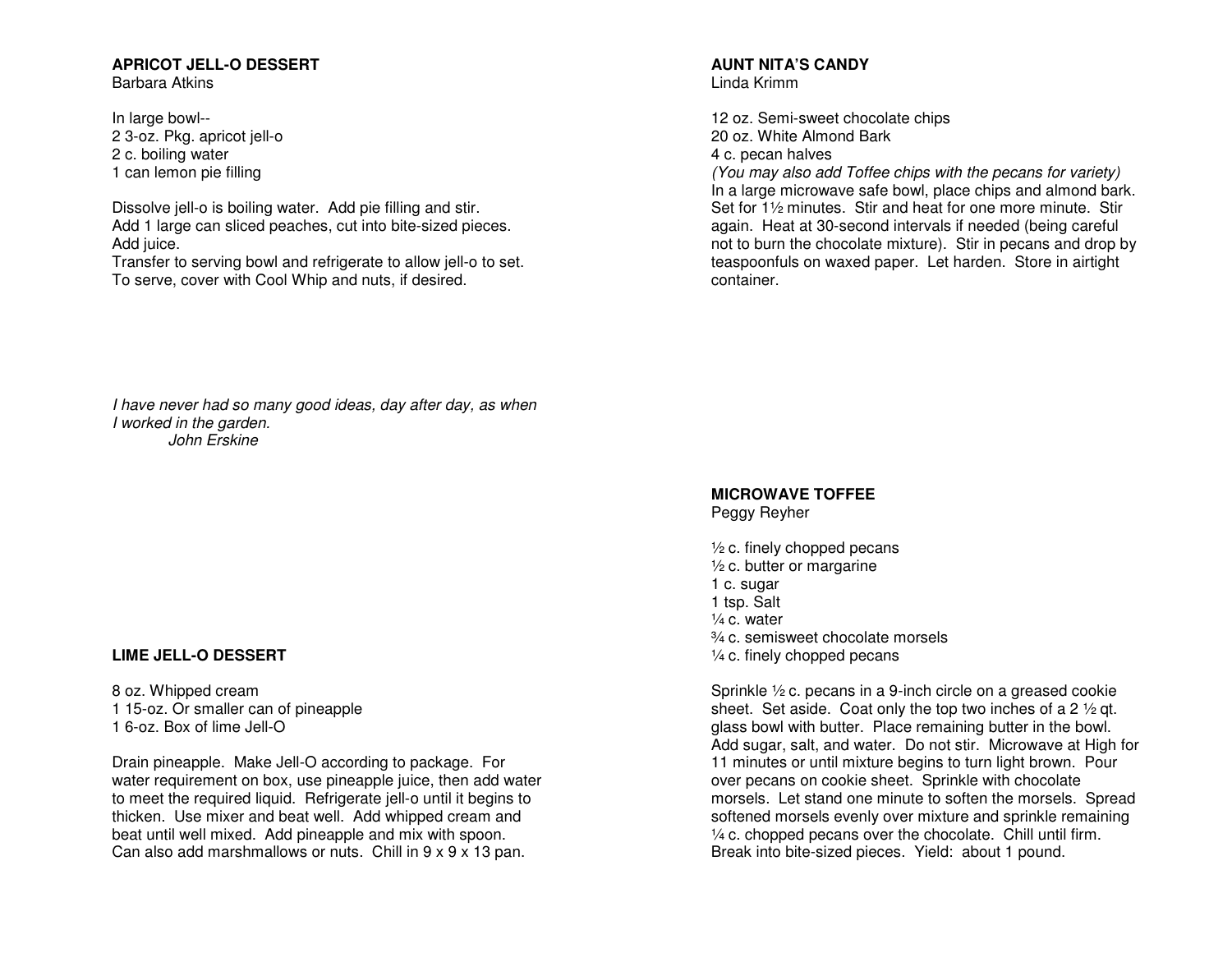# **APRICOT JELL-O DESSERT**

Barbara Atkins

In large bowl-- 2 3-oz. Pkg. apricot jell-o 2 c. boiling water 1 can lemon pie filling

Dissolve jell-o is boiling water. Add pie filling and stir. Add 1 large can sliced peaches, cut into bite-sized pieces. Add juice.

 Transfer to serving bowl and refrigerate to allow jell-o to set. To serve, cover with Cool Whip and nuts, if desired.

# **AUNT NITA'S CANDY**

Linda Krimm

12 oz. Semi-sweet chocolate chips 20 oz. White Almond Bark 4 c. pecan halves

 (You may also add Toffee chips with the pecans for variety) In a large microwave safe bowl, place chips and almond bark. Set for 1<sup>1/2</sup> minutes. Stir and heat for one more minute. Stir again. Heat at 30-second intervals if needed (being careful not to burn the chocolate mixture). Stir in pecans and drop by teaspoonfuls on waxed paper. Let harden. Store in airtight container.

I have never had so many good ideas, day after day, as when I worked in the garden. John Erskine

# **LIME JELL-O DESSERT**

8 oz. Whipped cream 1 15-oz. Or smaller can of pineapple 1 6-oz. Box of lime Jell-O

Drain pineapple. Make Jell-O according to package. For water requirement on box, use pineapple juice, then add water to meet the required liquid. Refrigerate jell-o until it begins to thicken. Use mixer and beat well. Add whipped cream and beat until well mixed. Add pineapple and mix with spoon. Can also add marshmallows or nuts. Chill in 9 x 9 x 13 pan.

#### **MICROWAVE TOFFEE** Peggy Reyher

 $\frac{1}{2}$  c. finely chopped pecans  $\frac{1}{2}$  c. butter or margarine 1 c. sugar 1 tsp. Salt ¼ c. water ¾ c. semisweet chocolate morsels  $\frac{1}{4}$  c. finely chopped pecans

Sprinkle ½ c. pecans in a 9-inch circle on a greased cookie sheet. Set aside. Coat only the top two inches of a 2  $\frac{1}{2}$  qt. glass bowl with butter. Place remaining butter in the bowl. Add sugar, salt, and water. Do not stir. Microwave at High for 11 minutes or until mixture begins to turn light brown. Pour over pecans on cookie sheet. Sprinkle with chocolate morsels. Let stand one minute to soften the morsels. Spread softened morsels evenly over mixture and sprinkle remaining  $\frac{1}{4}$  c. chopped pecans over the chocolate. Chill until firm. Break into bite-sized pieces. Yield: about 1 pound.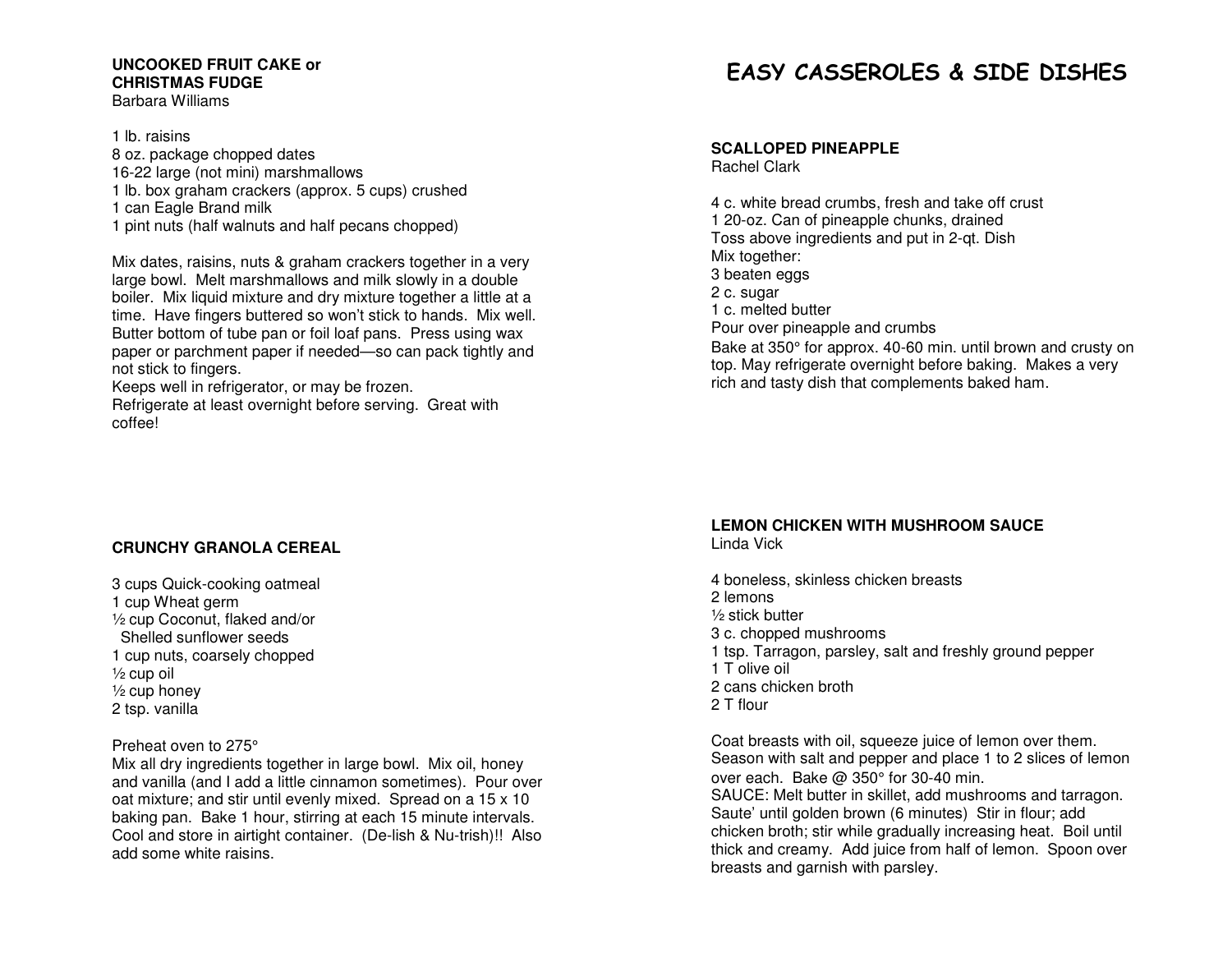#### **UNCOOKED FRUIT CAKE or CHRISTMAS FUDGE** Barbara Williams

1 lb. raisins

- 8 oz. package chopped dates 16-22 large (not mini) marshmallows 1 lb. box graham crackers (approx. 5 cups) crushed 1 can Eagle Brand milk
- 1 pint nuts (half walnuts and half pecans chopped)

Mix dates, raisins, nuts & graham crackers together in a very large bowl. Melt marshmallows and milk slowly in a double boiler. Mix liquid mixture and dry mixture together a little at a time. Have fingers buttered so won't stick to hands. Mix well. Butter bottom of tube pan or foil loaf pans. Press using wax paper or parchment paper if needed—so can pack tightly and not stick to fingers.

Keeps well in refrigerator, or may be frozen.

 Refrigerate at least overnight before serving. Great with coffee!

# **CRUNCHY GRANOLA CEREAL**

3 cups Quick-cooking oatmeal 1 cup Wheat germ ½ cup Coconut, flaked and/or Shelled sunflower seeds 1 cup nuts, coarsely chopped ½ cup oil ½ cup honey 2 tsp. vanilla

## Preheat oven to 275°

 Mix all dry ingredients together in large bowl. Mix oil, honey and vanilla (and I add a little cinnamon sometimes). Pour over oat mixture; and stir until evenly mixed. Spread on a 15 x 10 baking pan. Bake 1 hour, stirring at each 15 minute intervals. Cool and store in airtight container. (De-lish & Nu-trish)!! Also add some white raisins.

# EASY CASSEROLES & SIDE DISHES

**SCALLOPED PINEAPPLE** 

Rachel Clark

4 c. white bread crumbs, fresh and take off crust 1 20-oz. Can of pineapple chunks, drained Toss above ingredients and put in 2-qt. Dish Mix together: 3 beaten eggs 2 c. sugar 1 c. melted butter Pour over pineapple and crumbs Bake at 350° for approx. 40-60 min. until brown and crusty on top. May refrigerate overnight before baking. Makes a very rich and tasty dish that complements baked ham.

# **LEMON CHICKEN WITH MUSHROOM SAUCE**

Linda Vick

4 boneless, skinless chicken breasts 2 lemons ½ stick butter 3 c. chopped mushrooms 1 tsp. Tarragon, parsley, salt and freshly ground pepper 1 T olive oil 2 cans chicken broth 2 T flour

Coat breasts with oil, squeeze juice of lemon over them. Season with salt and pepper and place 1 to 2 slices of lemon over each. Bake @ 350° for 30-40 min. SAUCE: Melt butter in skillet, add mushrooms and tarragon. Saute' until golden brown (6 minutes) Stir in flour; add chicken broth; stir while gradually increasing heat. Boil until thick and creamy. Add juice from half of lemon. Spoon over breasts and garnish with parsley.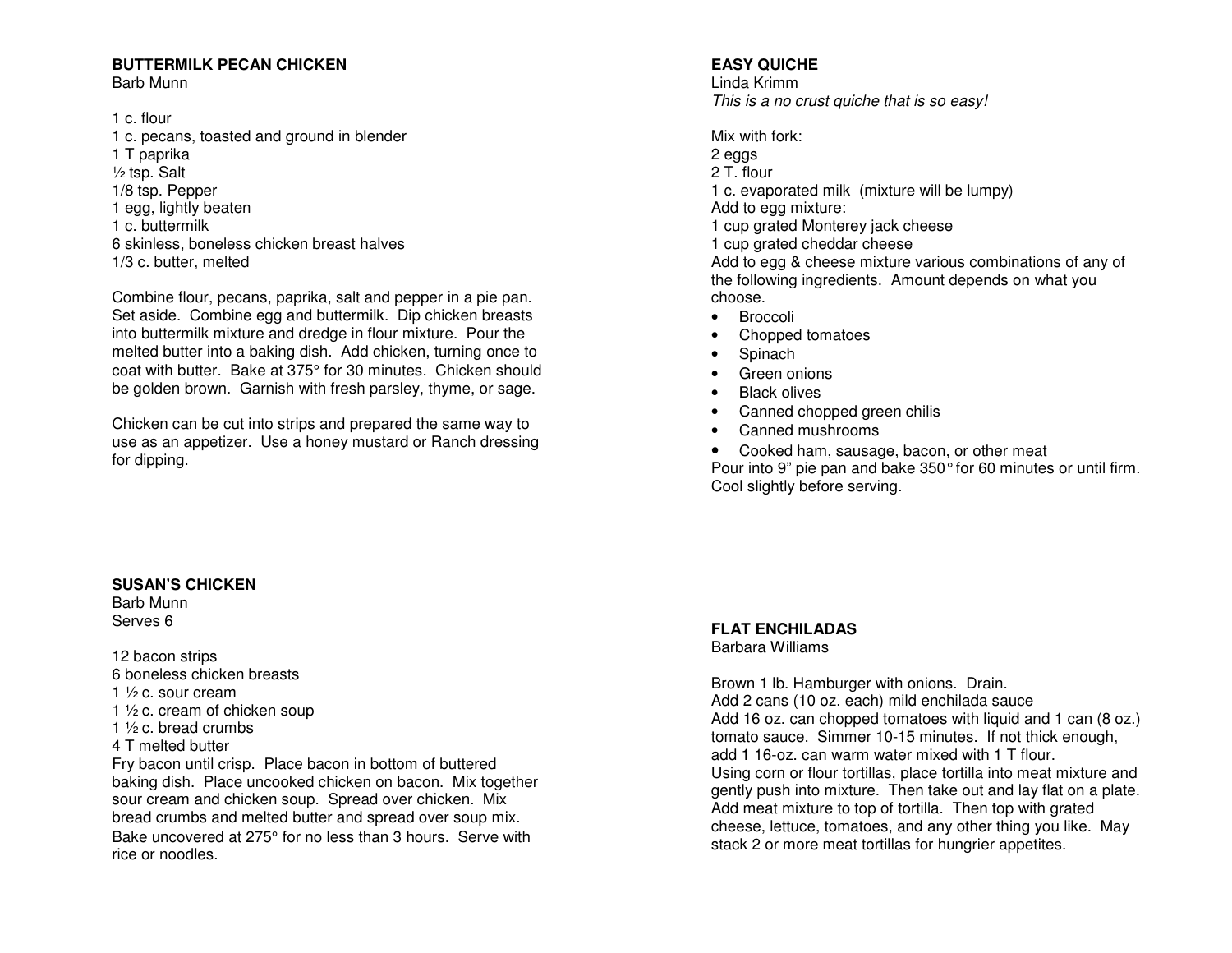# **BUTTERMILK PECAN CHICKEN**

Barb Munn

1 c. flour 1 c. pecans, toasted and ground in blender 1 T paprika ½ tsp. Salt 1/8 tsp. Pepper 1 egg, lightly beaten 1 c. buttermilk 6 skinless, boneless chicken breast halves 1/3 c. butter, melted

Combine flour, pecans, paprika, salt and pepper in a pie pan. Set aside. Combine egg and buttermilk. Dip chicken breasts into buttermilk mixture and dredge in flour mixture. Pour the melted butter into a baking dish. Add chicken, turning once to coat with butter. Bake at 375° for 30 minutes. Chicken should be golden brown. Garnish with fresh parsley, thyme, or sage.

Chicken can be cut into strips and prepared the same way to use as an appetizer. Use a honey mustard or Ranch dressing for dipping.

# **SUSAN'S CHICKEN**

Barb Munn Serves 6

12 bacon strips 6 boneless chicken breasts

- 1 ½ c. sour cream
- 1 ½ c. cream of chicken soup
- 1 ½ c. bread crumbs
- 4 T melted butter

 Fry bacon until crisp. Place bacon in bottom of buttered baking dish. Place uncooked chicken on bacon. Mix together sour cream and chicken soup. Spread over chicken. Mix bread crumbs and melted butter and spread over soup mix. Bake uncovered at 275° for no less than 3 hours. Serve with rice or noodles.

# **EASY QUICHE**

Linda Krimm This is a no crust quiche that is so easy!

Mix with fork:

2 eggs 2 T. flour

1 c. evaporated milk (mixture will be lumpy)

Add to egg mixture:

1 cup grated Monterey jack cheese

1 cup grated cheddar cheese

 Add to egg & cheese mixture various combinations of any of the following ingredients. Amount depends on what you choose.

- Broccoli
- Chopped tomatoes
- Spinach
- Green onions
- Black olives
- Canned chopped green chilis
- Canned mushrooms
- Cooked ham, sausage, bacon, or other meat Pour into 9" pie pan and bake 350° for 60 minutes or until firm. Cool slightly before serving.

# **FLAT ENCHILADAS**

Barbara Williams

Brown 1 lb. Hamburger with onions. Drain. Add 2 cans (10 oz. each) mild enchilada sauce Add 16 oz. can chopped tomatoes with liquid and 1 can (8 oz.) tomato sauce. Simmer 10-15 minutes. If not thick enough, add 1 16-oz. can warm water mixed with 1 T flour. Using corn or flour tortillas, place tortilla into meat mixture and gently push into mixture. Then take out and lay flat on a plate. Add meat mixture to top of tortilla. Then top with grated cheese, lettuce, tomatoes, and any other thing you like. May stack 2 or more meat tortillas for hungrier appetites.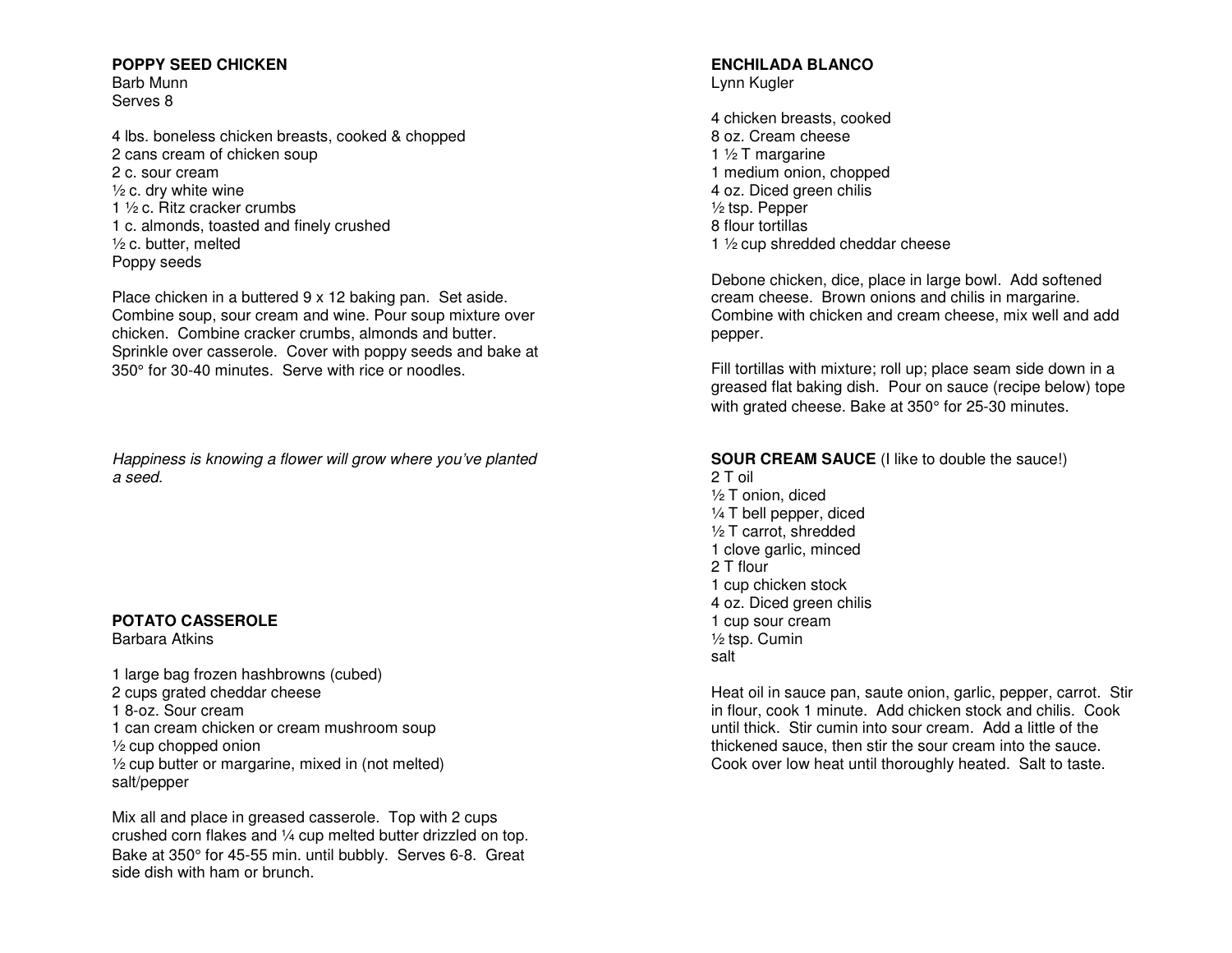## **POPPY SEED CHICKEN**

Barb Munn Serves 8

4 lbs. boneless chicken breasts, cooked & chopped 2 cans cream of chicken soup 2 c. sour cream ½ c. dry white wine 1 ½ c. Ritz cracker crumbs 1 c. almonds, toasted and finely crushed ½ c. butter, melted Poppy seeds

Place chicken in a buttered 9 x 12 baking pan. Set aside. Combine soup, sour cream and wine. Pour soup mixture over chicken. Combine cracker crumbs, almonds and butter. Sprinkle over casserole. Cover with poppy seeds and bake at 350° for 30-40 minutes. Serve with rice or noodles.

Happiness is knowing a flower will grow where you've planted a seed.

# **POTATO CASSEROLE**

Barbara Atkins

1 large bag frozen hashbrowns (cubed) 2 cups grated cheddar cheese 1 8-oz. Sour cream 1 can cream chicken or cream mushroom soup  $\frac{1}{2}$  cup chopped onion ½ cup butter or margarine, mixed in (not melted) salt/pepper

Mix all and place in greased casserole. Top with 2 cups crushed corn flakes and ¼ cup melted butter drizzled on top. Bake at 350° for 45-55 min. until bubbly. Serves 6-8. Great side dish with ham or brunch.

#### **ENCHILADA BLANCO** Lynn Kugler

4 chicken breasts, cooked 8 oz. Cream cheese 1 ½ T margarine 1 medium onion, chopped 4 oz. Diced green chilis ½ tsp. Pepper 8 flour tortillas 1 ½ cup shredded cheddar cheese

Debone chicken, dice, place in large bowl. Add softened cream cheese. Brown onions and chilis in margarine. Combine with chicken and cream cheese, mix well and add pepper.

Fill tortillas with mixture; roll up; place seam side down in a greased flat baking dish. Pour on sauce (recipe below) tope with grated cheese. Bake at 350° for 25-30 minutes.

### **SOUR CREAM SAUCE** (I like to double the sauce!)

2 T oil ½ T onion, diced ¼ T bell pepper, diced ½ T carrot, shredded 1 clove garlic, minced 2 T flour 1 cup chicken stock 4 oz. Diced green chilis 1 cup sour cream ½ tsp. Cumin salt

Heat oil in sauce pan, saute onion, garlic, pepper, carrot. Stir in flour, cook 1 minute. Add chicken stock and chilis. Cook until thick. Stir cumin into sour cream. Add a little of the thickened sauce, then stir the sour cream into the sauce. Cook over low heat until thoroughly heated. Salt to taste.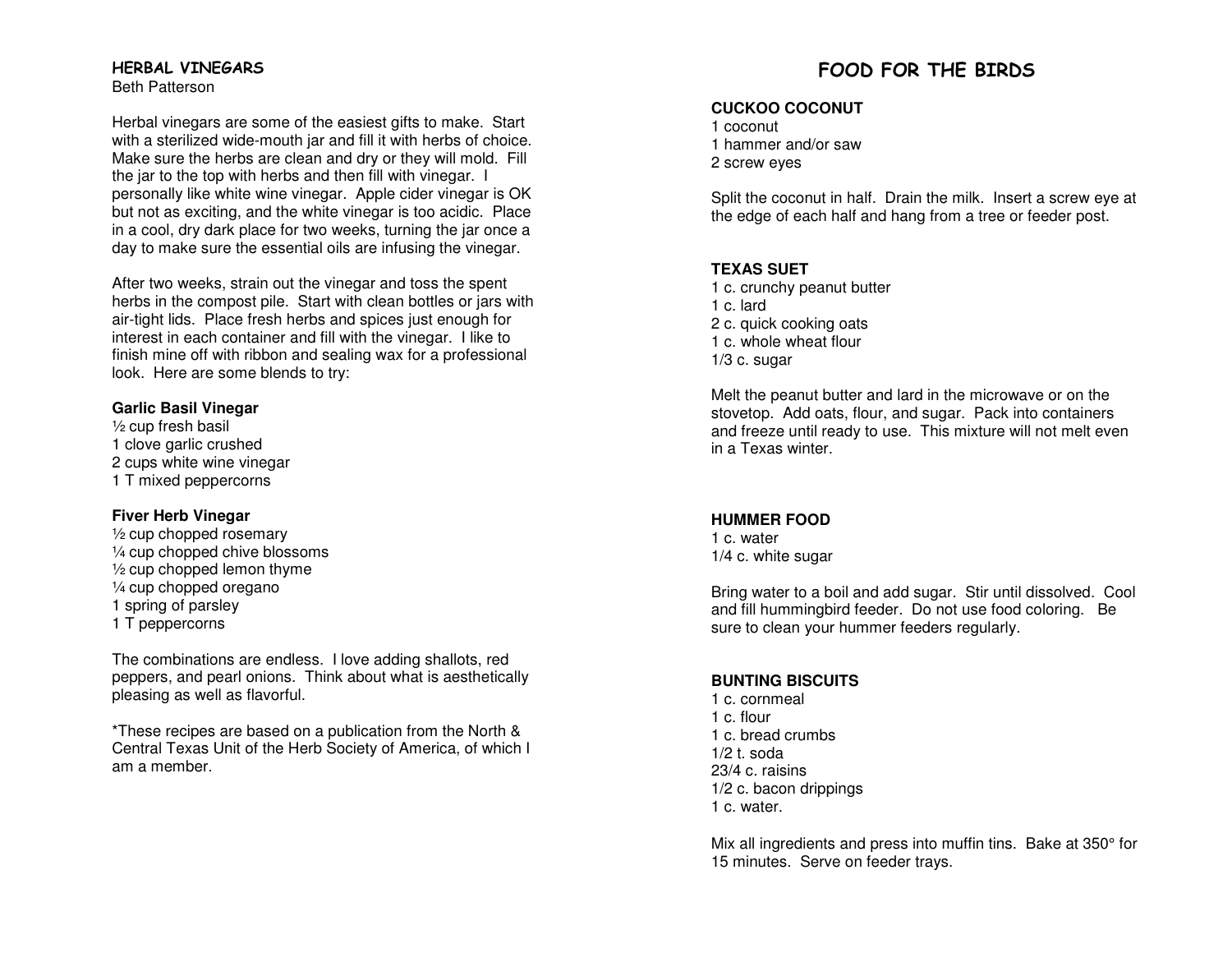# HERBAL VINEGARS

Beth Patterson

Herbal vinegars are some of the easiest gifts to make. Start with a sterilized wide-mouth jar and fill it with herbs of choice. Make sure the herbs are clean and dry or they will mold. Fill the jar to the top with herbs and then fill with vinegar. I personally like white wine vinegar. Apple cider vinegar is OK but not as exciting, and the white vinegar is too acidic. Place in a cool, dry dark place for two weeks, turning the jar once a day to make sure the essential oils are infusing the vinegar.

After two weeks, strain out the vinegar and toss the spent herbs in the compost pile. Start with clean bottles or jars with air-tight lids. Place fresh herbs and spices just enough for interest in each container and fill with the vinegar. I like to finish mine off with ribbon and sealing wax for a professional look. Here are some blends to try:

#### **Garlic Basil Vinegar**

½ cup fresh basil 1 clove garlic crushed 2 cups white wine vinegar 1 T mixed peppercorns

## **Fiver Herb Vinegar**

 ½ cup chopped rosemary ¼ cup chopped chive blossoms ½ cup chopped lemon thyme ¼ cup chopped oregano 1 spring of parsley 1 T peppercorns

The combinations are endless. I love adding shallots, red peppers, and pearl onions. Think about what is aesthetically pleasing as well as flavorful.

\*These recipes are based on a publication from the North & Central Texas Unit of the Herb Society of America, of which I am a member.

# FOOD FOR THE BIRDS

### **CUCKOO COCONUT**

1 coconut 1 hammer and/or saw 2 screw eyes

Split the coconut in half. Drain the milk. Insert a screw eye at the edge of each half and hang from a tree or feeder post.

## **TEXAS SUET**

 1 c. crunchy peanut butter 1 c. lard 2 c. quick cooking oats 1 c. whole wheat flour  $1/3$  c. sugar

Melt the peanut butter and lard in the microwave or on the stovetop. Add oats, flour, and sugar. Pack into containers and freeze until ready to use. This mixture will not melt even in a Texas winter.

# **HUMMER FOOD**

1 c. water 1/4 c. white sugar

Bring water to a boil and add sugar. Stir until dissolved. Cool and fill hummingbird feeder. Do not use food coloring. Be sure to clean your hummer feeders regularly.

# **BUNTING BISCUITS**

1 c. cornmeal 1 c. flour 1 c. bread crumbs  $1/2$  t. soda 23/4 c. raisins 1/2 c. bacon drippings 1 c. water.

Mix all ingredients and press into muffin tins. Bake at 350° for 15 minutes. Serve on feeder trays.